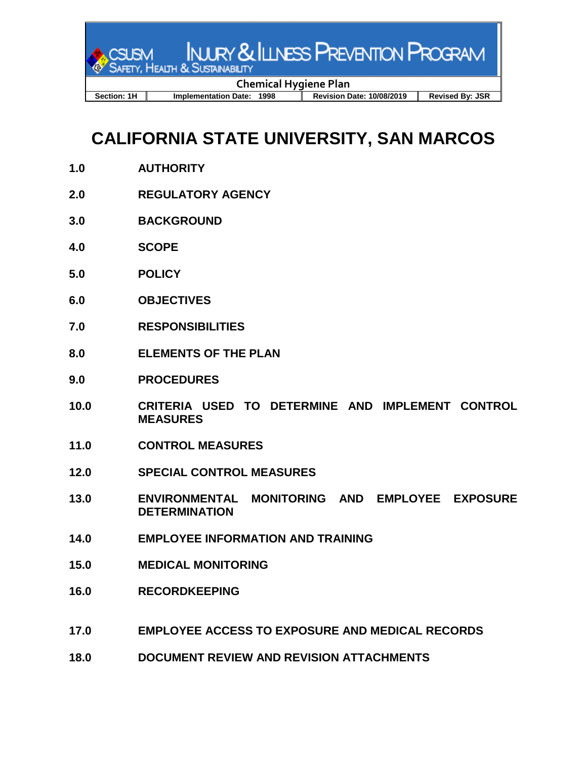

## **CALIFORNIA STATE UNIVERSITY, SAN MARCOS**

- **1.0 AUTHORITY**
- **2.0 REGULATORY AGENCY**
- **3.0 BACKGROUND**
- **4.0 SCOPE**
- **5.0 POLICY**
- **6.0 OBJECTIVES**
- **7.0 RESPONSIBILITIES**
- **8.0 ELEMENTS OF THE PLAN**
- **9.0 PROCEDURES**
- **10.0 CRITERIA USED TO DETERMINE AND IMPLEMENT CONTROL MEASURES**
- **11.0 CONTROL MEASURES**
- **12.0 SPECIAL CONTROL MEASURES**
- **13.0 ENVIRONMENTAL MONITORING AND EMPLOYEE EXPOSURE DETERMINATION**
- **14.0 EMPLOYEE INFORMATION AND TRAINING**
- **15.0 MEDICAL MONITORING**
- **16.0 RECORDKEEPING**
- **17.0 EMPLOYEE ACCESS TO EXPOSURE AND MEDICAL RECORDS**
- **18.0 DOCUMENT REVIEW AND REVISION ATTACHMENTS**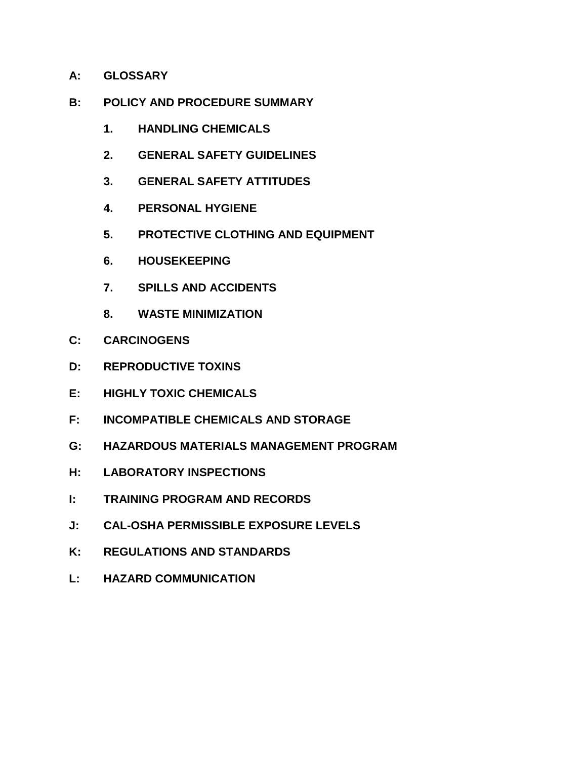- **A: GLOSSARY**
- **B: POLICY AND PROCEDURE SUMMARY**
	- **1. HANDLING CHEMICALS**
	- **2. GENERAL SAFETY GUIDELINES**
	- **3. GENERAL SAFETY ATTITUDES**
	- **4. PERSONAL HYGIENE**
	- **5. PROTECTIVE CLOTHING AND EQUIPMENT**
	- **6. HOUSEKEEPING**
	- **7. SPILLS AND ACCIDENTS**
	- **8. WASTE MINIMIZATION**
- **C: CARCINOGENS**
- **D: REPRODUCTIVE TOXINS**
- **E: HIGHLY TOXIC CHEMICALS**
- **F: INCOMPATIBLE CHEMICALS AND STORAGE**
- **G: HAZARDOUS MATERIALS MANAGEMENT PROGRAM**
- **H: LABORATORY INSPECTIONS**
- **I: TRAINING PROGRAM AND RECORDS**
- **J: CAL-OSHA PERMISSIBLE EXPOSURE LEVELS**
- **K: REGULATIONS AND STANDARDS**
- **L: HAZARD COMMUNICATION**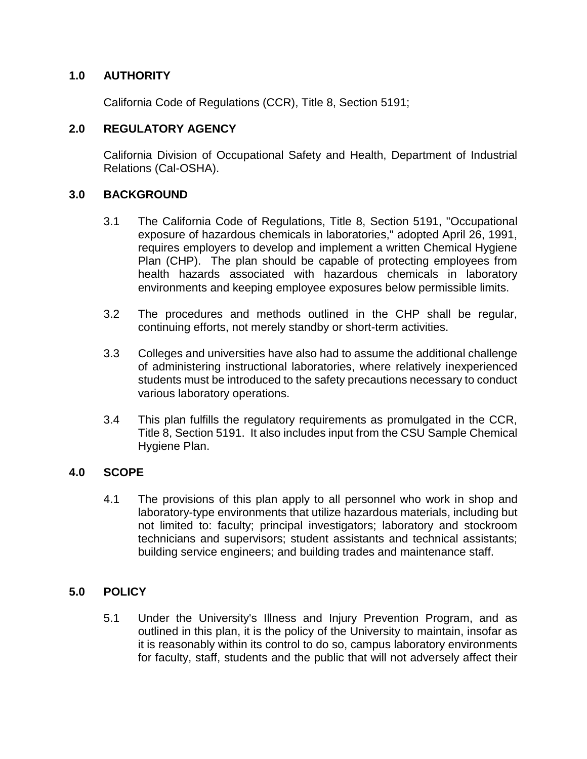### **1.0 AUTHORITY**

California Code of Regulations (CCR), Title 8, Section 5191;

## **2.0 REGULATORY AGENCY**

California Division of Occupational Safety and Health, Department of Industrial Relations (Cal-OSHA).

### **3.0 BACKGROUND**

- 3.1 The California Code of Regulations, Title 8, Section 5191, "Occupational exposure of hazardous chemicals in laboratories," adopted April 26, 1991, requires employers to develop and implement a written Chemical Hygiene Plan (CHP). The plan should be capable of protecting employees from health hazards associated with hazardous chemicals in laboratory environments and keeping employee exposures below permissible limits.
- 3.2 The procedures and methods outlined in the CHP shall be regular, continuing efforts, not merely standby or short-term activities.
- 3.3 Colleges and universities have also had to assume the additional challenge of administering instructional laboratories, where relatively inexperienced students must be introduced to the safety precautions necessary to conduct various laboratory operations.
- 3.4 This plan fulfills the regulatory requirements as promulgated in the CCR, Title 8, Section 5191. It also includes input from the CSU Sample Chemical Hygiene Plan.

#### **4.0 SCOPE**

4.1 The provisions of this plan apply to all personnel who work in shop and laboratory-type environments that utilize hazardous materials, including but not limited to: faculty; principal investigators; laboratory and stockroom technicians and supervisors; student assistants and technical assistants; building service engineers; and building trades and maintenance staff.

## **5.0 POLICY**

5.1 Under the University's Illness and Injury Prevention Program, and as outlined in this plan, it is the policy of the University to maintain, insofar as it is reasonably within its control to do so, campus laboratory environments for faculty, staff, students and the public that will not adversely affect their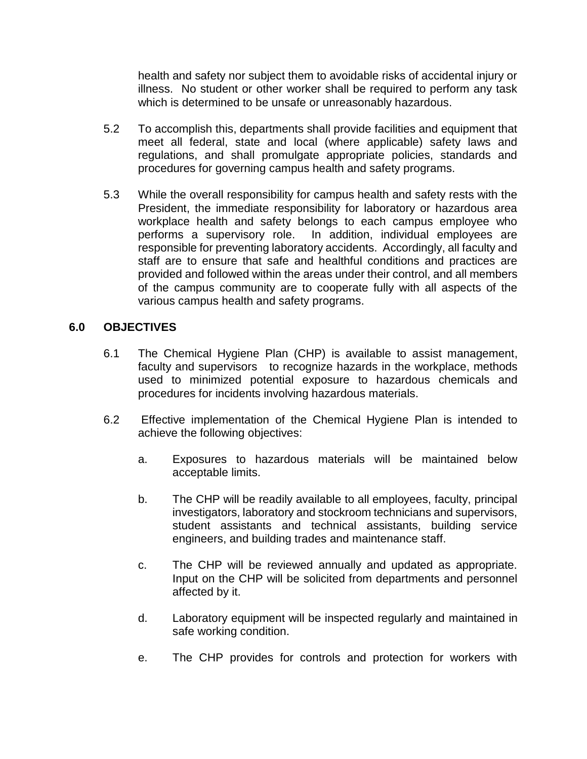health and safety nor subject them to avoidable risks of accidental injury or illness. No student or other worker shall be required to perform any task which is determined to be unsafe or unreasonably hazardous.

- 5.2 To accomplish this, departments shall provide facilities and equipment that meet all federal, state and local (where applicable) safety laws and regulations, and shall promulgate appropriate policies, standards and procedures for governing campus health and safety programs.
- 5.3 While the overall responsibility for campus health and safety rests with the President, the immediate responsibility for laboratory or hazardous area workplace health and safety belongs to each campus employee who performs a supervisory role. In addition, individual employees are responsible for preventing laboratory accidents. Accordingly, all faculty and staff are to ensure that safe and healthful conditions and practices are provided and followed within the areas under their control, and all members of the campus community are to cooperate fully with all aspects of the various campus health and safety programs.

#### **6.0 OBJECTIVES**

- 6.1 The Chemical Hygiene Plan (CHP) is available to assist management, faculty and supervisors to recognize hazards in the workplace, methods used to minimized potential exposure to hazardous chemicals and procedures for incidents involving hazardous materials.
- 6.2 Effective implementation of the Chemical Hygiene Plan is intended to achieve the following objectives:
	- a. Exposures to hazardous materials will be maintained below acceptable limits.
	- b. The CHP will be readily available to all employees, faculty, principal investigators, laboratory and stockroom technicians and supervisors, student assistants and technical assistants, building service engineers, and building trades and maintenance staff.
	- c. The CHP will be reviewed annually and updated as appropriate. Input on the CHP will be solicited from departments and personnel affected by it.
	- d. Laboratory equipment will be inspected regularly and maintained in safe working condition.
	- e. The CHP provides for controls and protection for workers with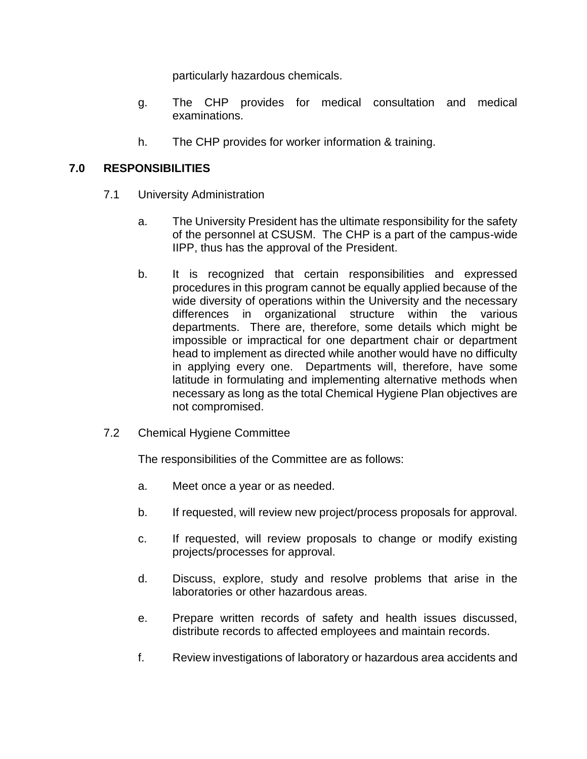particularly hazardous chemicals.

- g. The CHP provides for medical consultation and medical examinations.
- h. The CHP provides for worker information & training.

### **7.0 RESPONSIBILITIES**

- 7.1 University Administration
	- a. The University President has the ultimate responsibility for the safety of the personnel at CSUSM. The CHP is a part of the campus-wide IIPP, thus has the approval of the President.
	- b. It is recognized that certain responsibilities and expressed procedures in this program cannot be equally applied because of the wide diversity of operations within the University and the necessary differences in organizational structure within the various departments. There are, therefore, some details which might be impossible or impractical for one department chair or department head to implement as directed while another would have no difficulty in applying every one. Departments will, therefore, have some latitude in formulating and implementing alternative methods when necessary as long as the total Chemical Hygiene Plan objectives are not compromised.
- 7.2 Chemical Hygiene Committee

The responsibilities of the Committee are as follows:

- a. Meet once a year or as needed.
- b. If requested, will review new project/process proposals for approval.
- c. If requested, will review proposals to change or modify existing projects/processes for approval.
- d. Discuss, explore, study and resolve problems that arise in the laboratories or other hazardous areas.
- e. Prepare written records of safety and health issues discussed, distribute records to affected employees and maintain records.
- f. Review investigations of laboratory or hazardous area accidents and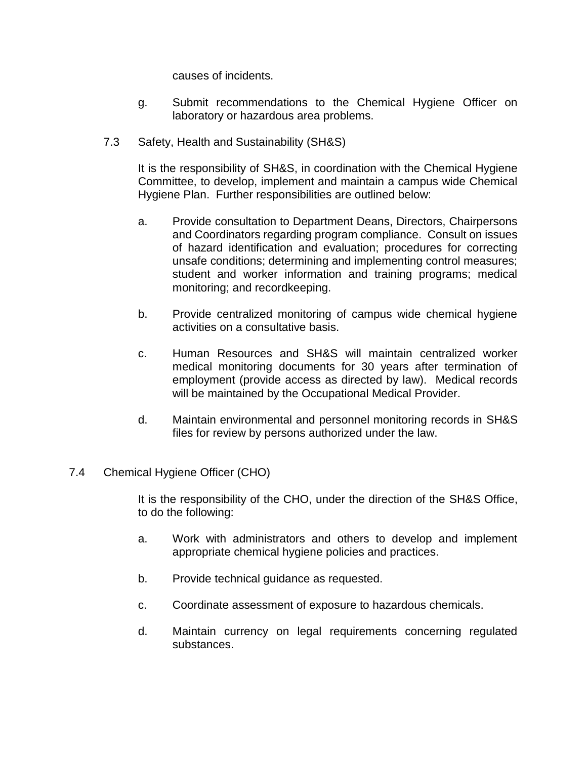causes of incidents.

- g. Submit recommendations to the Chemical Hygiene Officer on laboratory or hazardous area problems.
- 7.3 Safety, Health and Sustainability (SH&S)

It is the responsibility of SH&S, in coordination with the Chemical Hygiene Committee, to develop, implement and maintain a campus wide Chemical Hygiene Plan. Further responsibilities are outlined below:

- a. Provide consultation to Department Deans, Directors, Chairpersons and Coordinators regarding program compliance. Consult on issues of hazard identification and evaluation; procedures for correcting unsafe conditions; determining and implementing control measures; student and worker information and training programs; medical monitoring; and recordkeeping.
- b. Provide centralized monitoring of campus wide chemical hygiene activities on a consultative basis.
- c. Human Resources and SH&S will maintain centralized worker medical monitoring documents for 30 years after termination of employment (provide access as directed by law). Medical records will be maintained by the Occupational Medical Provider.
- d. Maintain environmental and personnel monitoring records in SH&S files for review by persons authorized under the law.
- 7.4 Chemical Hygiene Officer (CHO)

It is the responsibility of the CHO, under the direction of the SH&S Office, to do the following:

- a. Work with administrators and others to develop and implement appropriate chemical hygiene policies and practices.
- b. Provide technical guidance as requested.
- c. Coordinate assessment of exposure to hazardous chemicals.
- d. Maintain currency on legal requirements concerning regulated substances.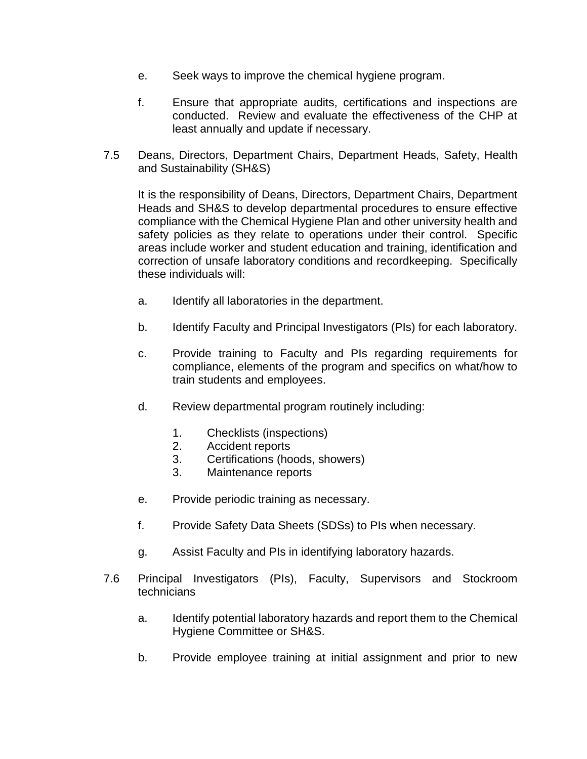- e. Seek ways to improve the chemical hygiene program.
- f. Ensure that appropriate audits, certifications and inspections are conducted. Review and evaluate the effectiveness of the CHP at least annually and update if necessary.
- 7.5 Deans, Directors, Department Chairs, Department Heads, Safety, Health and Sustainability (SH&S)

It is the responsibility of Deans, Directors, Department Chairs, Department Heads and SH&S to develop departmental procedures to ensure effective compliance with the Chemical Hygiene Plan and other university health and safety policies as they relate to operations under their control. Specific areas include worker and student education and training, identification and correction of unsafe laboratory conditions and recordkeeping. Specifically these individuals will:

- a. Identify all laboratories in the department.
- b. Identify Faculty and Principal Investigators (PIs) for each laboratory.
- c. Provide training to Faculty and PIs regarding requirements for compliance, elements of the program and specifics on what/how to train students and employees.
- d. Review departmental program routinely including:
	- 1. Checklists (inspections)
	- 2. Accident reports
	- 3. Certifications (hoods, showers)
	- 3. Maintenance reports
- e. Provide periodic training as necessary.
- f. Provide Safety Data Sheets (SDSs) to PIs when necessary.
- g. Assist Faculty and PIs in identifying laboratory hazards.
- 7.6 Principal Investigators (PIs), Faculty, Supervisors and Stockroom technicians
	- a. Identify potential laboratory hazards and report them to the Chemical Hygiene Committee or SH&S.
	- b. Provide employee training at initial assignment and prior to new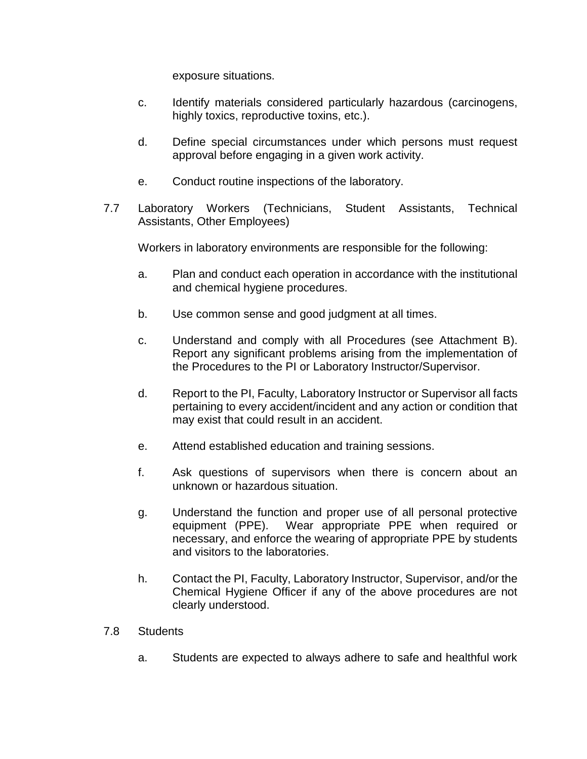exposure situations.

- c. Identify materials considered particularly hazardous (carcinogens, highly toxics, reproductive toxins, etc.).
- d. Define special circumstances under which persons must request approval before engaging in a given work activity.
- e. Conduct routine inspections of the laboratory.
- 7.7 Laboratory Workers (Technicians, Student Assistants, Technical Assistants, Other Employees)

Workers in laboratory environments are responsible for the following:

- a. Plan and conduct each operation in accordance with the institutional and chemical hygiene procedures.
- b. Use common sense and good judgment at all times.
- c. Understand and comply with all Procedures (see Attachment B). Report any significant problems arising from the implementation of the Procedures to the PI or Laboratory Instructor/Supervisor.
- d. Report to the PI, Faculty, Laboratory Instructor or Supervisor all facts pertaining to every accident/incident and any action or condition that may exist that could result in an accident.
- e. Attend established education and training sessions.
- f. Ask questions of supervisors when there is concern about an unknown or hazardous situation.
- g. Understand the function and proper use of all personal protective equipment (PPE). Wear appropriate PPE when required or necessary, and enforce the wearing of appropriate PPE by students and visitors to the laboratories.
- h. Contact the PI, Faculty, Laboratory Instructor, Supervisor, and/or the Chemical Hygiene Officer if any of the above procedures are not clearly understood.
- 7.8 Students
	- a. Students are expected to always adhere to safe and healthful work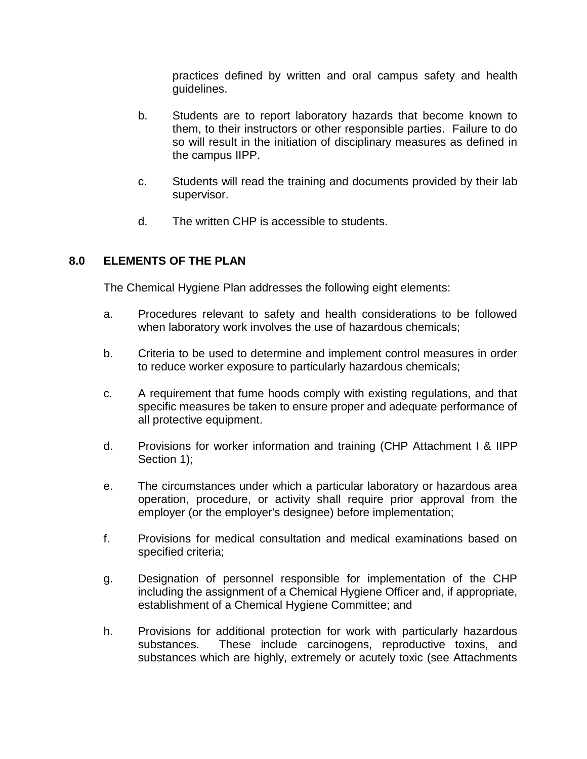practices defined by written and oral campus safety and health guidelines.

- b. Students are to report laboratory hazards that become known to them, to their instructors or other responsible parties. Failure to do so will result in the initiation of disciplinary measures as defined in the campus IIPP.
- c. Students will read the training and documents provided by their lab supervisor.
- d. The written CHP is accessible to students.

### **8.0 ELEMENTS OF THE PLAN**

The Chemical Hygiene Plan addresses the following eight elements:

- a. Procedures relevant to safety and health considerations to be followed when laboratory work involves the use of hazardous chemicals;
- b. Criteria to be used to determine and implement control measures in order to reduce worker exposure to particularly hazardous chemicals;
- c. A requirement that fume hoods comply with existing regulations, and that specific measures be taken to ensure proper and adequate performance of all protective equipment.
- d. Provisions for worker information and training (CHP Attachment I & IIPP Section 1);
- e. The circumstances under which a particular laboratory or hazardous area operation, procedure, or activity shall require prior approval from the employer (or the employer's designee) before implementation;
- f. Provisions for medical consultation and medical examinations based on specified criteria;
- g. Designation of personnel responsible for implementation of the CHP including the assignment of a Chemical Hygiene Officer and, if appropriate, establishment of a Chemical Hygiene Committee; and
- h. Provisions for additional protection for work with particularly hazardous substances. These include carcinogens, reproductive toxins, and substances which are highly, extremely or acutely toxic (see Attachments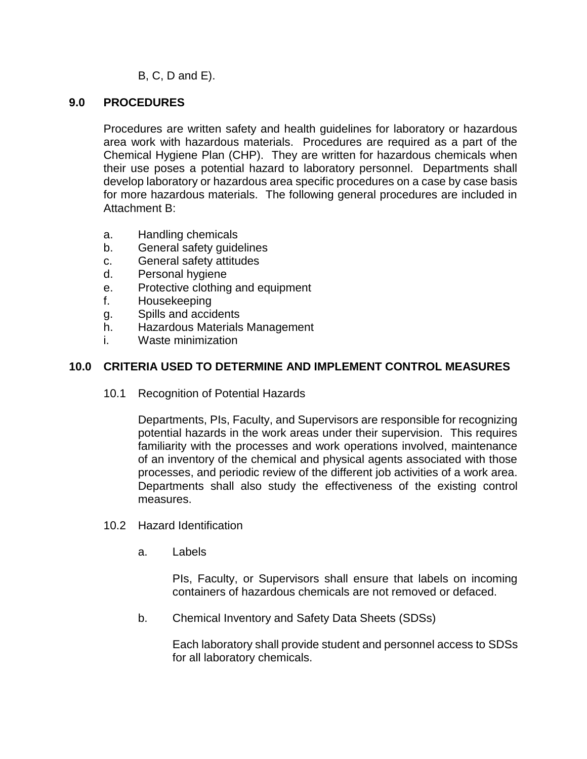B, C, D and E).

#### **9.0 PROCEDURES**

Procedures are written safety and health guidelines for laboratory or hazardous area work with hazardous materials. Procedures are required as a part of the Chemical Hygiene Plan (CHP). They are written for hazardous chemicals when their use poses a potential hazard to laboratory personnel. Departments shall develop laboratory or hazardous area specific procedures on a case by case basis for more hazardous materials. The following general procedures are included in Attachment B:

- a. Handling chemicals
- b. General safety guidelines
- c. General safety attitudes
- d. Personal hygiene
- e. Protective clothing and equipment
- f. Housekeeping
- g. Spills and accidents
- h. Hazardous Materials Management
- i. Waste minimization

### **10.0 CRITERIA USED TO DETERMINE AND IMPLEMENT CONTROL MEASURES**

10.1 Recognition of Potential Hazards

Departments, PIs, Faculty, and Supervisors are responsible for recognizing potential hazards in the work areas under their supervision. This requires familiarity with the processes and work operations involved, maintenance of an inventory of the chemical and physical agents associated with those processes, and periodic review of the different job activities of a work area. Departments shall also study the effectiveness of the existing control measures.

- 10.2 Hazard Identification
	- a. Labels

PIs, Faculty, or Supervisors shall ensure that labels on incoming containers of hazardous chemicals are not removed or defaced.

b. Chemical Inventory and Safety Data Sheets (SDSs)

Each laboratory shall provide student and personnel access to SDSs for all laboratory chemicals.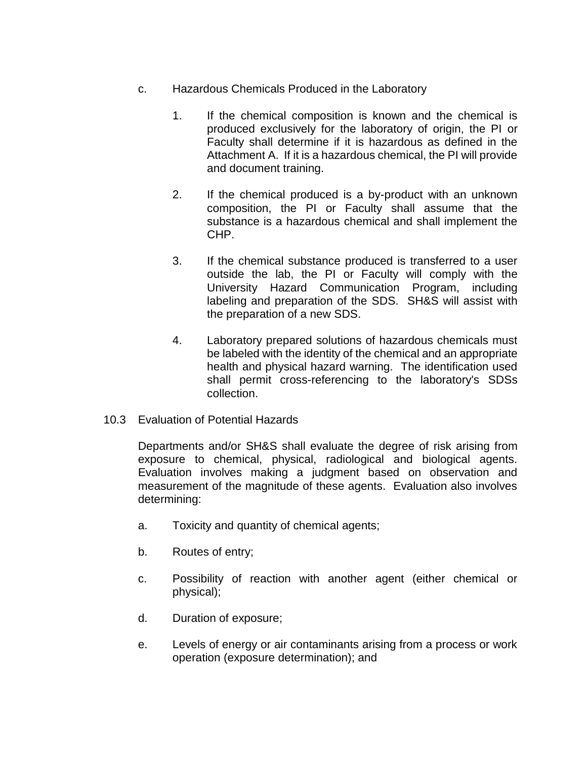- c. Hazardous Chemicals Produced in the Laboratory
	- 1. If the chemical composition is known and the chemical is produced exclusively for the laboratory of origin, the PI or Faculty shall determine if it is hazardous as defined in the Attachment A. If it is a hazardous chemical, the PI will provide and document training.
	- 2. If the chemical produced is a by-product with an unknown composition, the PI or Faculty shall assume that the substance is a hazardous chemical and shall implement the CHP.
	- 3. If the chemical substance produced is transferred to a user outside the lab, the PI or Faculty will comply with the University Hazard Communication Program, including labeling and preparation of the SDS. SH&S will assist with the preparation of a new SDS.
	- 4. Laboratory prepared solutions of hazardous chemicals must be labeled with the identity of the chemical and an appropriate health and physical hazard warning. The identification used shall permit cross-referencing to the laboratory's SDSs collection.
- 10.3 Evaluation of Potential Hazards

Departments and/or SH&S shall evaluate the degree of risk arising from exposure to chemical, physical, radiological and biological agents. Evaluation involves making a judgment based on observation and measurement of the magnitude of these agents. Evaluation also involves determining:

- a. Toxicity and quantity of chemical agents;
- b. Routes of entry;
- c. Possibility of reaction with another agent (either chemical or physical);
- d. Duration of exposure;
- e. Levels of energy or air contaminants arising from a process or work operation (exposure determination); and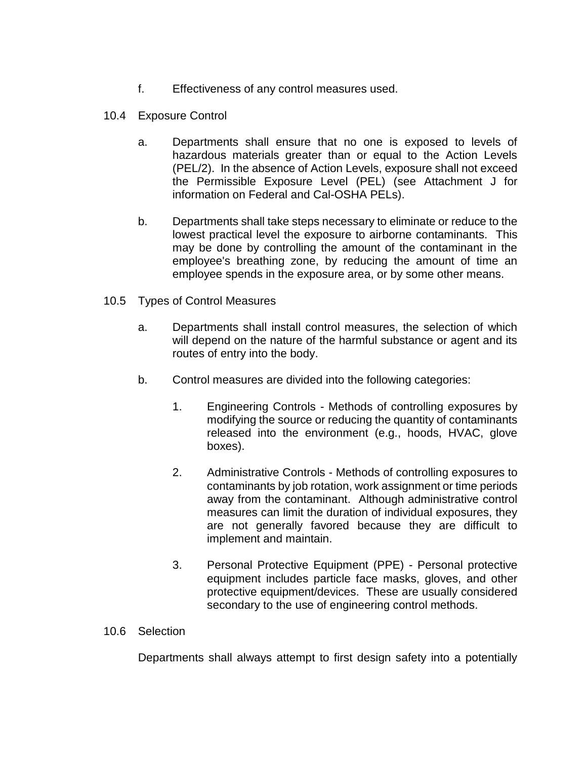- f. Effectiveness of any control measures used.
- 10.4 Exposure Control
	- a. Departments shall ensure that no one is exposed to levels of hazardous materials greater than or equal to the Action Levels (PEL/2). In the absence of Action Levels, exposure shall not exceed the Permissible Exposure Level (PEL) (see Attachment J for information on Federal and Cal-OSHA PELs).
	- b. Departments shall take steps necessary to eliminate or reduce to the lowest practical level the exposure to airborne contaminants. This may be done by controlling the amount of the contaminant in the employee's breathing zone, by reducing the amount of time an employee spends in the exposure area, or by some other means.
- 10.5 Types of Control Measures
	- a. Departments shall install control measures, the selection of which will depend on the nature of the harmful substance or agent and its routes of entry into the body.
	- b. Control measures are divided into the following categories:
		- 1. Engineering Controls Methods of controlling exposures by modifying the source or reducing the quantity of contaminants released into the environment (e.g., hoods, HVAC, glove boxes).
		- 2. Administrative Controls Methods of controlling exposures to contaminants by job rotation, work assignment or time periods away from the contaminant. Although administrative control measures can limit the duration of individual exposures, they are not generally favored because they are difficult to implement and maintain.
		- 3. Personal Protective Equipment (PPE) Personal protective equipment includes particle face masks, gloves, and other protective equipment/devices. These are usually considered secondary to the use of engineering control methods.
- 10.6 Selection

Departments shall always attempt to first design safety into a potentially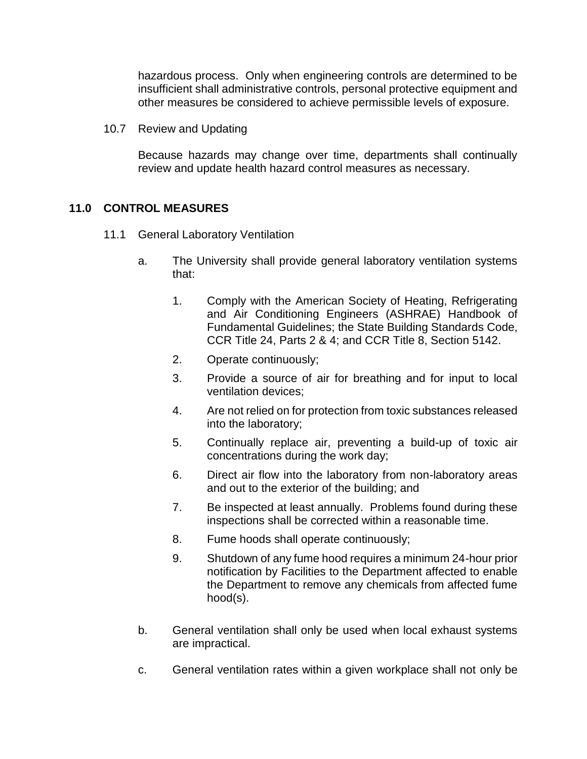hazardous process. Only when engineering controls are determined to be insufficient shall administrative controls, personal protective equipment and other measures be considered to achieve permissible levels of exposure.

10.7 Review and Updating

Because hazards may change over time, departments shall continually review and update health hazard control measures as necessary.

#### **11.0 CONTROL MEASURES**

- 11.1 General Laboratory Ventilation
	- a. The University shall provide general laboratory ventilation systems that:
		- 1. Comply with the American Society of Heating, Refrigerating and Air Conditioning Engineers (ASHRAE) Handbook of Fundamental Guidelines; the State Building Standards Code, CCR Title 24, Parts 2 & 4; and CCR Title 8, Section 5142.
		- 2. Operate continuously;
		- 3. Provide a source of air for breathing and for input to local ventilation devices;
		- 4. Are not relied on for protection from toxic substances released into the laboratory;
		- 5. Continually replace air, preventing a build-up of toxic air concentrations during the work day;
		- 6. Direct air flow into the laboratory from non-laboratory areas and out to the exterior of the building; and
		- 7. Be inspected at least annually. Problems found during these inspections shall be corrected within a reasonable time.
		- 8. Fume hoods shall operate continuously;
		- 9. Shutdown of any fume hood requires a minimum 24-hour prior notification by Facilities to the Department affected to enable the Department to remove any chemicals from affected fume hood(s).
	- b. General ventilation shall only be used when local exhaust systems are impractical.
	- c. General ventilation rates within a given workplace shall not only be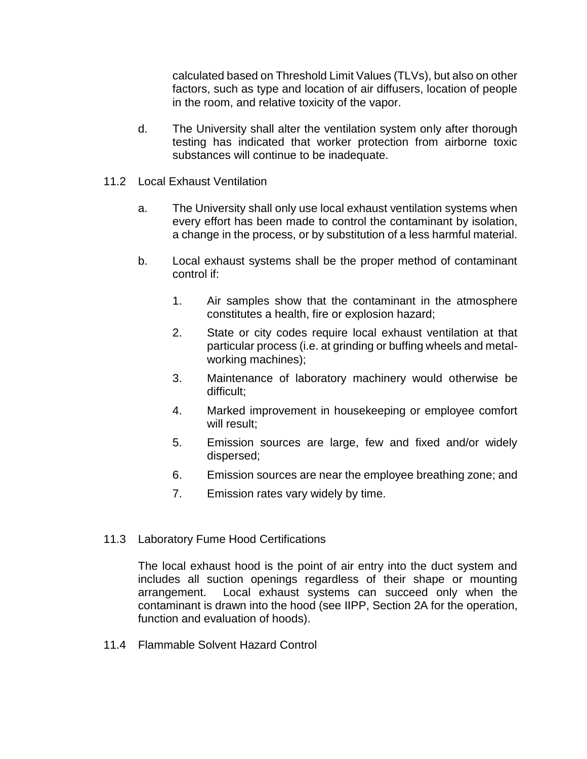calculated based on Threshold Limit Values (TLVs), but also on other factors, such as type and location of air diffusers, location of people in the room, and relative toxicity of the vapor.

- d. The University shall alter the ventilation system only after thorough testing has indicated that worker protection from airborne toxic substances will continue to be inadequate.
- 11.2 Local Exhaust Ventilation
	- a. The University shall only use local exhaust ventilation systems when every effort has been made to control the contaminant by isolation, a change in the process, or by substitution of a less harmful material.
	- b. Local exhaust systems shall be the proper method of contaminant control if:
		- 1. Air samples show that the contaminant in the atmosphere constitutes a health, fire or explosion hazard;
		- 2. State or city codes require local exhaust ventilation at that particular process (i.e. at grinding or buffing wheels and metalworking machines);
		- 3. Maintenance of laboratory machinery would otherwise be difficult;
		- 4. Marked improvement in housekeeping or employee comfort will result:
		- 5. Emission sources are large, few and fixed and/or widely dispersed;
		- 6. Emission sources are near the employee breathing zone; and
		- 7. Emission rates vary widely by time.
- 11.3 Laboratory Fume Hood Certifications

The local exhaust hood is the point of air entry into the duct system and includes all suction openings regardless of their shape or mounting arrangement. Local exhaust systems can succeed only when the contaminant is drawn into the hood (see IIPP, Section 2A for the operation, function and evaluation of hoods).

11.4 Flammable Solvent Hazard Control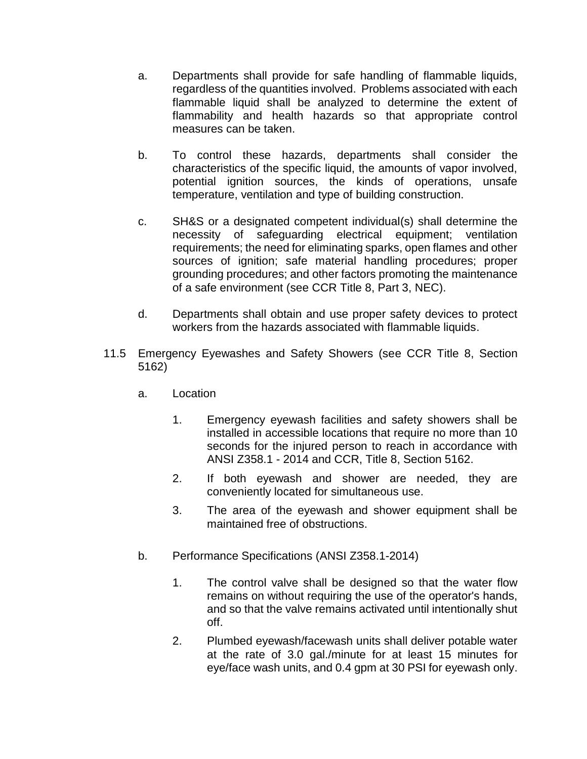- a. Departments shall provide for safe handling of flammable liquids, regardless of the quantities involved. Problems associated with each flammable liquid shall be analyzed to determine the extent of flammability and health hazards so that appropriate control measures can be taken.
- b. To control these hazards, departments shall consider the characteristics of the specific liquid, the amounts of vapor involved, potential ignition sources, the kinds of operations, unsafe temperature, ventilation and type of building construction.
- c. SH&S or a designated competent individual(s) shall determine the necessity of safeguarding electrical equipment; ventilation requirements; the need for eliminating sparks, open flames and other sources of ignition; safe material handling procedures; proper grounding procedures; and other factors promoting the maintenance of a safe environment (see CCR Title 8, Part 3, NEC).
- d. Departments shall obtain and use proper safety devices to protect workers from the hazards associated with flammable liquids.
- 11.5 Emergency Eyewashes and Safety Showers (see CCR Title 8, Section 5162)
	- a. Location
		- 1. Emergency eyewash facilities and safety showers shall be installed in accessible locations that require no more than 10 seconds for the injured person to reach in accordance with ANSI Z358.1 - 2014 and CCR, Title 8, Section 5162.
		- 2. If both eyewash and shower are needed, they are conveniently located for simultaneous use.
		- 3. The area of the eyewash and shower equipment shall be maintained free of obstructions.
	- b. Performance Specifications (ANSI Z358.1-2014)
		- 1. The control valve shall be designed so that the water flow remains on without requiring the use of the operator's hands, and so that the valve remains activated until intentionally shut off.
		- 2. Plumbed eyewash/facewash units shall deliver potable water at the rate of 3.0 gal./minute for at least 15 minutes for eye/face wash units, and 0.4 gpm at 30 PSI for eyewash only.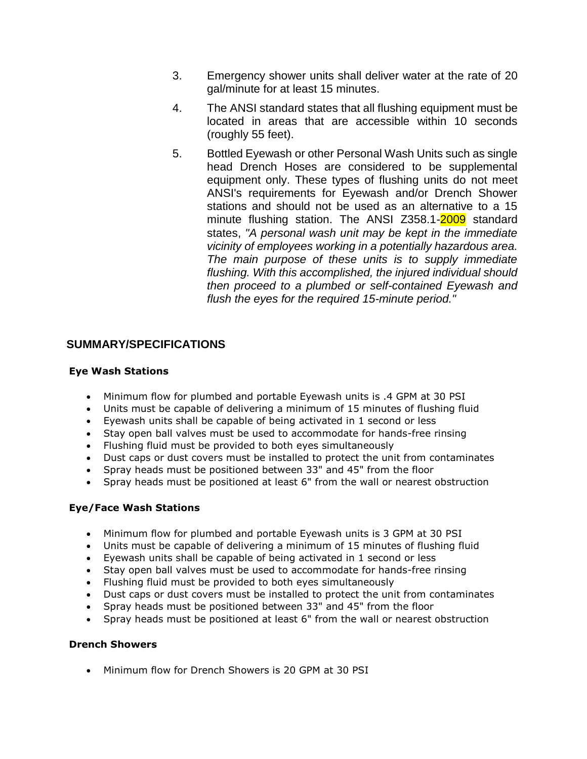- 3. Emergency shower units shall deliver water at the rate of 20 gal/minute for at least 15 minutes.
- 4. The ANSI standard states that all flushing equipment must be located in areas that are accessible within 10 seconds (roughly 55 feet).
- 5. Bottled Eyewash or other Personal Wash Units such as single head Drench Hoses are considered to be supplemental equipment only. These types of flushing units do not meet ANSI's requirements for Eyewash and/or Drench Shower stations and should not be used as an alternative to a 15 minute flushing station. The ANSI Z358.1-2009 standard states, *"A personal wash unit may be kept in the immediate vicinity of employees working in a potentially hazardous area. The main purpose of these units is to supply immediate flushing. With this accomplished, the injured individual should then proceed to a plumbed or self-contained Eyewash and flush the eyes for the required 15-minute period."*

#### **SUMMARY/SPECIFICATIONS**

#### **Eye Wash Stations**

- Minimum flow for plumbed and portable Eyewash units is .4 GPM at 30 PSI
- Units must be capable of delivering a minimum of 15 minutes of flushing fluid
- Eyewash units shall be capable of being activated in 1 second or less
- Stay open ball valves must be used to accommodate for hands-free rinsing
- Flushing fluid must be provided to both eyes simultaneously
- Dust caps or dust covers must be installed to protect the unit from contaminates
- Spray heads must be positioned between 33" and 45" from the floor
- Spray heads must be positioned at least 6" from the wall or nearest obstruction

#### **Eye/Face Wash Stations**

- Minimum flow for plumbed and portable Eyewash units is 3 GPM at 30 PSI
- Units must be capable of delivering a minimum of 15 minutes of flushing fluid
- Eyewash units shall be capable of being activated in 1 second or less
- Stay open ball valves must be used to accommodate for hands-free rinsing
- Flushing fluid must be provided to both eyes simultaneously
- Dust caps or dust covers must be installed to protect the unit from contaminates
- Spray heads must be positioned between 33" and 45" from the floor
- Spray heads must be positioned at least 6" from the wall or nearest obstruction

#### **Drench Showers**

• Minimum flow for Drench Showers is 20 GPM at 30 PSI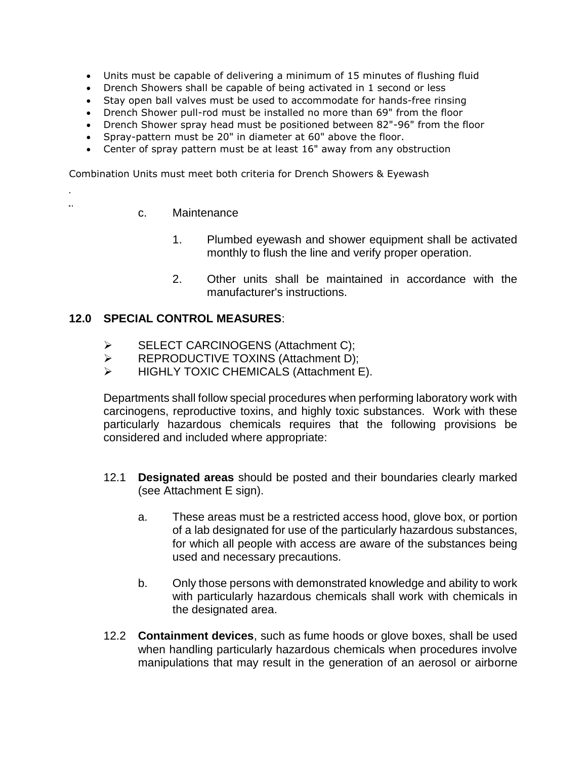- Units must be capable of delivering a minimum of 15 minutes of flushing fluid
- Drench Showers shall be capable of being activated in 1 second or less
- Stay open ball valves must be used to accommodate for hands-free rinsing
- Drench Shower pull-rod must be installed no more than 69" from the floor
- Drench Shower spray head must be positioned between 82"-96" from the floor
- Spray-pattern must be 20" in diameter at 60" above the floor.
- Center of spray pattern must be at least 16" away from any obstruction

Combination Units must meet both criteria for Drench Showers & Eyewash

- c. Maintenance
	- 1. Plumbed eyewash and shower equipment shall be activated monthly to flush the line and verify proper operation.
	- 2. Other units shall be maintained in accordance with the manufacturer's instructions.

#### **12.0 SPECIAL CONTROL MEASURES**:

- ➢ SELECT CARCINOGENS (Attachment C);
- ➢ REPRODUCTIVE TOXINS (Attachment D);
- ➢ HIGHLY TOXIC CHEMICALS (Attachment E).

Departments shall follow special procedures when performing laboratory work with carcinogens, reproductive toxins, and highly toxic substances. Work with these particularly hazardous chemicals requires that the following provisions be considered and included where appropriate:

- 12.1 **Designated areas** should be posted and their boundaries clearly marked (see Attachment E sign).
	- a. These areas must be a restricted access hood, glove box, or portion of a lab designated for use of the particularly hazardous substances, for which all people with access are aware of the substances being used and necessary precautions.
	- b. Only those persons with demonstrated knowledge and ability to work with particularly hazardous chemicals shall work with chemicals in the designated area.
- 12.2 **Containment devices**, such as fume hoods or glove boxes, shall be used when handling particularly hazardous chemicals when procedures involve manipulations that may result in the generation of an aerosol or airborne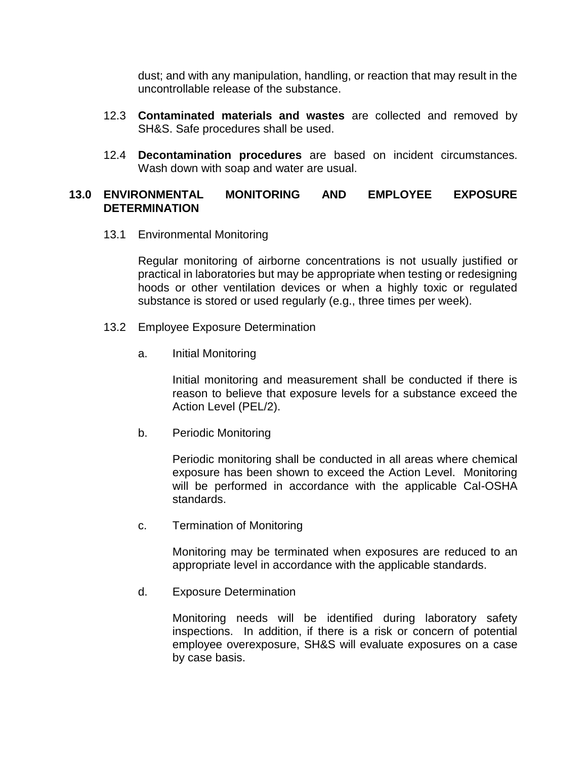dust; and with any manipulation, handling, or reaction that may result in the uncontrollable release of the substance.

- 12.3 **Contaminated materials and wastes** are collected and removed by SH&S. Safe procedures shall be used.
- 12.4 **Decontamination procedures** are based on incident circumstances. Wash down with soap and water are usual.

#### **13.0 ENVIRONMENTAL MONITORING AND EMPLOYEE EXPOSURE DETERMINATION**

13.1 Environmental Monitoring

Regular monitoring of airborne concentrations is not usually justified or practical in laboratories but may be appropriate when testing or redesigning hoods or other ventilation devices or when a highly toxic or regulated substance is stored or used regularly (e.g., three times per week).

- 13.2 Employee Exposure Determination
	- a. Initial Monitoring

Initial monitoring and measurement shall be conducted if there is reason to believe that exposure levels for a substance exceed the Action Level (PEL/2).

b. Periodic Monitoring

Periodic monitoring shall be conducted in all areas where chemical exposure has been shown to exceed the Action Level. Monitoring will be performed in accordance with the applicable Cal-OSHA standards.

c. Termination of Monitoring

Monitoring may be terminated when exposures are reduced to an appropriate level in accordance with the applicable standards.

d. Exposure Determination

Monitoring needs will be identified during laboratory safety inspections. In addition, if there is a risk or concern of potential employee overexposure, SH&S will evaluate exposures on a case by case basis.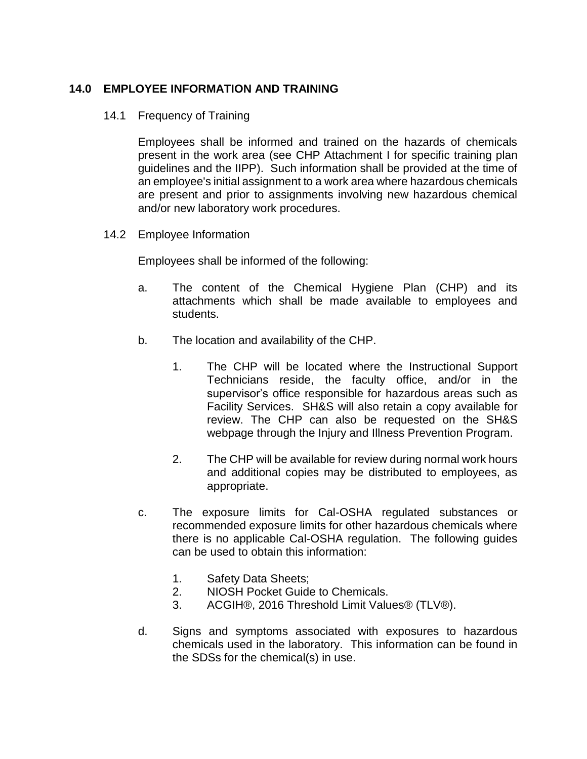#### **14.0 EMPLOYEE INFORMATION AND TRAINING**

#### 14.1 Frequency of Training

Employees shall be informed and trained on the hazards of chemicals present in the work area (see CHP Attachment I for specific training plan guidelines and the IIPP). Such information shall be provided at the time of an employee's initial assignment to a work area where hazardous chemicals are present and prior to assignments involving new hazardous chemical and/or new laboratory work procedures.

14.2 Employee Information

Employees shall be informed of the following:

- a. The content of the Chemical Hygiene Plan (CHP) and its attachments which shall be made available to employees and students.
- b. The location and availability of the CHP.
	- 1. The CHP will be located where the Instructional Support Technicians reside, the faculty office, and/or in the supervisor's office responsible for hazardous areas such as Facility Services. SH&S will also retain a copy available for review. The CHP can also be requested on the SH&S webpage through the Injury and Illness Prevention Program.
	- 2. The CHP will be available for review during normal work hours and additional copies may be distributed to employees, as appropriate.
- c. The exposure limits for Cal-OSHA regulated substances or recommended exposure limits for other hazardous chemicals where there is no applicable Cal-OSHA regulation. The following guides can be used to obtain this information:
	- 1. Safety Data Sheets;
	- 2. NIOSH Pocket Guide to Chemicals.
	- 3. ACGIH®, 2016 Threshold Limit Values® (TLV®).
- d. Signs and symptoms associated with exposures to hazardous chemicals used in the laboratory. This information can be found in the SDSs for the chemical(s) in use.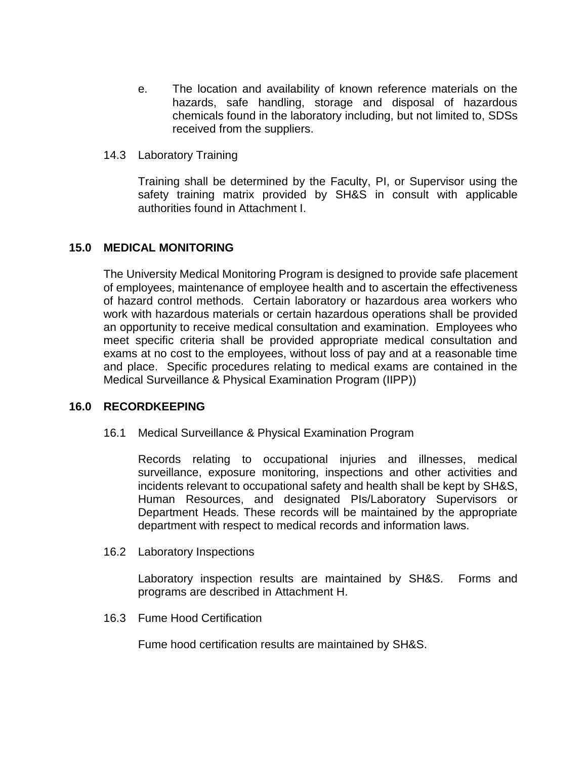- e. The location and availability of known reference materials on the hazards, safe handling, storage and disposal of hazardous chemicals found in the laboratory including, but not limited to, SDSs received from the suppliers.
- 14.3 Laboratory Training

Training shall be determined by the Faculty, PI, or Supervisor using the safety training matrix provided by SH&S in consult with applicable authorities found in Attachment I.

#### **15.0 MEDICAL MONITORING**

The University Medical Monitoring Program is designed to provide safe placement of employees, maintenance of employee health and to ascertain the effectiveness of hazard control methods. Certain laboratory or hazardous area workers who work with hazardous materials or certain hazardous operations shall be provided an opportunity to receive medical consultation and examination. Employees who meet specific criteria shall be provided appropriate medical consultation and exams at no cost to the employees, without loss of pay and at a reasonable time and place. Specific procedures relating to medical exams are contained in the Medical Surveillance & Physical Examination Program (IIPP))

#### **16.0 RECORDKEEPING**

16.1 Medical Surveillance & Physical Examination Program

Records relating to occupational injuries and illnesses, medical surveillance, exposure monitoring, inspections and other activities and incidents relevant to occupational safety and health shall be kept by SH&S, Human Resources, and designated PIs/Laboratory Supervisors or Department Heads. These records will be maintained by the appropriate department with respect to medical records and information laws.

16.2 Laboratory Inspections

Laboratory inspection results are maintained by SH&S. Forms and programs are described in Attachment H.

16.3 Fume Hood Certification

Fume hood certification results are maintained by SH&S.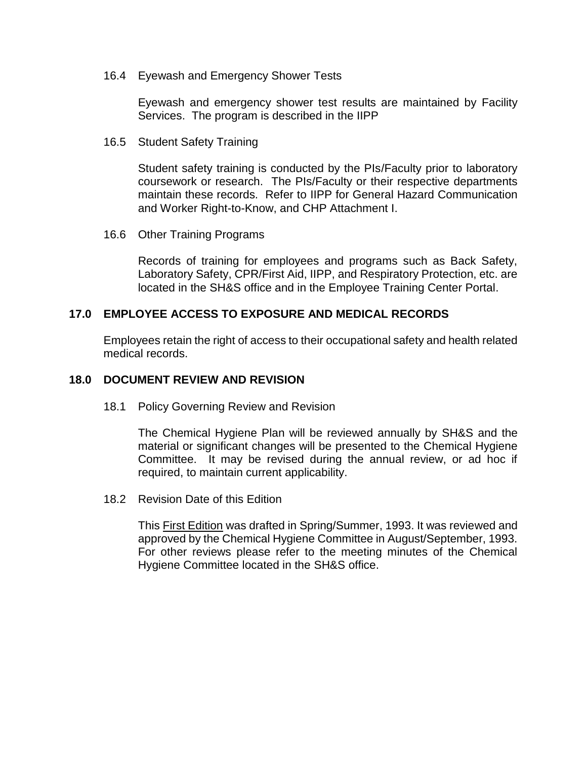16.4 Eyewash and Emergency Shower Tests

Eyewash and emergency shower test results are maintained by Facility Services. The program is described in the IIPP

16.5 Student Safety Training

Student safety training is conducted by the PIs/Faculty prior to laboratory coursework or research. The PIs/Faculty or their respective departments maintain these records. Refer to IIPP for General Hazard Communication and Worker Right-to-Know, and CHP Attachment I.

16.6 Other Training Programs

Records of training for employees and programs such as Back Safety, Laboratory Safety, CPR/First Aid, IIPP, and Respiratory Protection, etc. are located in the SH&S office and in the Employee Training Center Portal.

#### **17.0 EMPLOYEE ACCESS TO EXPOSURE AND MEDICAL RECORDS**

Employees retain the right of access to their occupational safety and health related medical records.

#### **18.0 DOCUMENT REVIEW AND REVISION**

18.1 Policy Governing Review and Revision

The Chemical Hygiene Plan will be reviewed annually by SH&S and the material or significant changes will be presented to the Chemical Hygiene Committee. It may be revised during the annual review, or ad hoc if required, to maintain current applicability.

18.2 Revision Date of this Edition

This First Edition was drafted in Spring/Summer, 1993. It was reviewed and approved by the Chemical Hygiene Committee in August/September, 1993. For other reviews please refer to the meeting minutes of the Chemical Hygiene Committee located in the SH&S office.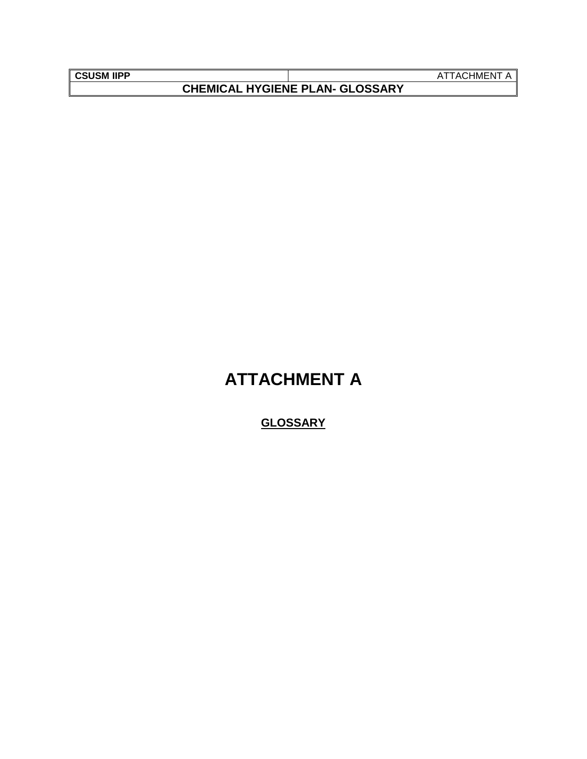| SUSM IIP |  |
|----------|--|
|          |  |

**CHEMICAL HYGIENE PLAN- GLOSSARY**

**ATTACHMENT A** 

## **ATTACHMENT A**

## **GLOSSARY**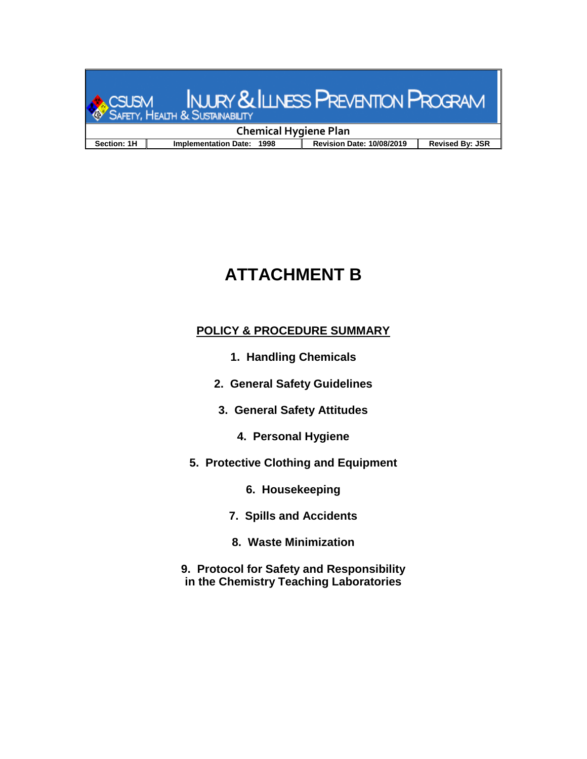

## **ATTACHMENT B**

## **POLICY & PROCEDURE SUMMARY**

- **1. Handling Chemicals**
- **2. General Safety Guidelines**
- **3. General Safety Attitudes**
	- **4. Personal Hygiene**
- **5. Protective Clothing and Equipment**
	- **6. Housekeeping**
	- **7. Spills and Accidents**
	- **8. Waste Minimization**
- **9. Protocol for Safety and Responsibility in the Chemistry Teaching Laboratories**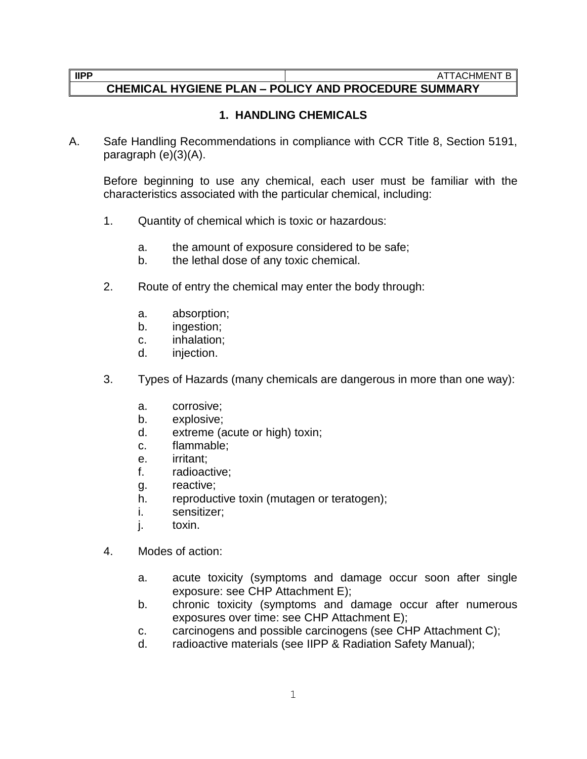## **CHEMICAL HYGIENE PLAN – POLICY AND PROCEDURE SUMMARY**

### **1. HANDLING CHEMICALS**

A. Safe Handling Recommendations in compliance with CCR Title 8, Section 5191, paragraph (e)(3)(A).

Before beginning to use any chemical, each user must be familiar with the characteristics associated with the particular chemical, including:

- 1. Quantity of chemical which is toxic or hazardous:
	- a. the amount of exposure considered to be safe;
	- b. the lethal dose of any toxic chemical.
- 2. Route of entry the chemical may enter the body through:
	- a. absorption;
	- b. ingestion;
	- c. inhalation;
	- d. injection.
- 3. Types of Hazards (many chemicals are dangerous in more than one way):
	- a. corrosive;
	- b. explosive;
	- d. extreme (acute or high) toxin;
	- c. flammable;
	- e. irritant;
	- f. radioactive;
	- g. reactive;
	- h. reproductive toxin (mutagen or teratogen);
	- i. sensitizer;
	- j. toxin.
- 4. Modes of action:
	- a. acute toxicity (symptoms and damage occur soon after single exposure: see CHP Attachment E);
	- b. chronic toxicity (symptoms and damage occur after numerous exposures over time: see CHP Attachment E);
	- c. carcinogens and possible carcinogens (see CHP Attachment C);
	- d. radioactive materials (see IIPP & Radiation Safety Manual);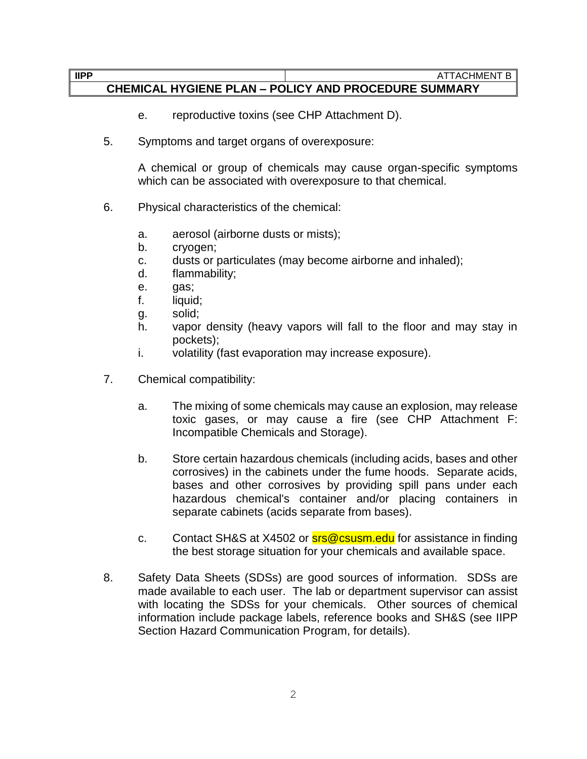- e. reproductive toxins (see CHP Attachment D).
- 5. Symptoms and target organs of overexposure:

A chemical or group of chemicals may cause organ-specific symptoms which can be associated with overexposure to that chemical.

- 6. Physical characteristics of the chemical:
	- a. aerosol (airborne dusts or mists);
	- b. cryogen;
	- c. dusts or particulates (may become airborne and inhaled);
	- d. flammability;
	- e. gas;
	- f. liquid;
	- g. solid;
	- h. vapor density (heavy vapors will fall to the floor and may stay in pockets);
	- i. volatility (fast evaporation may increase exposure).
- 7. Chemical compatibility:
	- a. The mixing of some chemicals may cause an explosion, may release toxic gases, or may cause a fire (see CHP Attachment F: Incompatible Chemicals and Storage).
	- b. Store certain hazardous chemicals (including acids, bases and other corrosives) in the cabinets under the fume hoods. Separate acids, bases and other corrosives by providing spill pans under each hazardous chemical's container and/or placing containers in separate cabinets (acids separate from bases).
	- c. Contact SH&S at X4502 or **srs@csusm.edu** for assistance in finding the best storage situation for your chemicals and available space.
- 8. Safety Data Sheets (SDSs) are good sources of information. SDSs are made available to each user. The lab or department supervisor can assist with locating the SDSs for your chemicals. Other sources of chemical information include package labels, reference books and SH&S (see IIPP Section Hazard Communication Program, for details).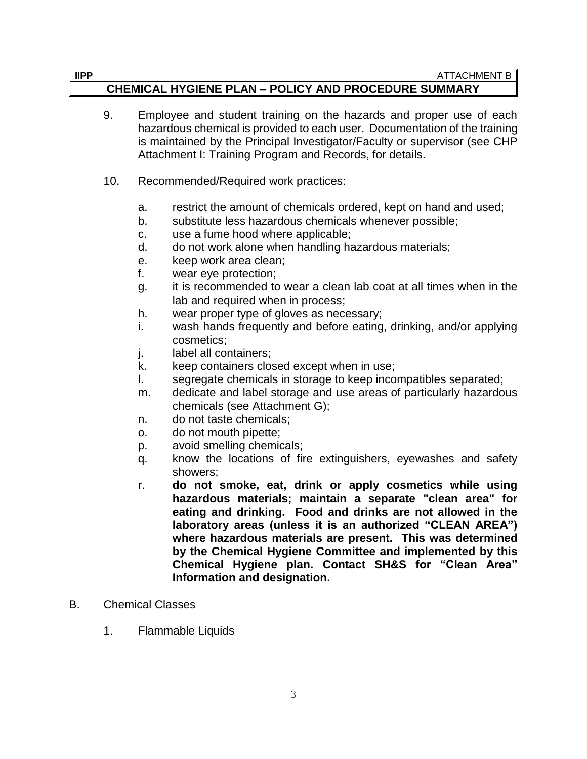- 9. Employee and student training on the hazards and proper use of each hazardous chemical is provided to each user. Documentation of the training is maintained by the Principal Investigator/Faculty or supervisor (see CHP Attachment I: Training Program and Records, for details.
- 10. Recommended/Required work practices:
	- a. restrict the amount of chemicals ordered, kept on hand and used;
	- b. substitute less hazardous chemicals whenever possible;
	- c. use a fume hood where applicable;
	- d. do not work alone when handling hazardous materials;
	- e. keep work area clean;
	- f. wear eye protection;
	- g. it is recommended to wear a clean lab coat at all times when in the lab and required when in process;
	- h. wear proper type of gloves as necessary;
	- i. wash hands frequently and before eating, drinking, and/or applying cosmetics;
	- j. label all containers;
	- k. keep containers closed except when in use;
	- l. segregate chemicals in storage to keep incompatibles separated;
	- m. dedicate and label storage and use areas of particularly hazardous chemicals (see Attachment G);
	- n. do not taste chemicals;
	- o. do not mouth pipette;
	- p. avoid smelling chemicals;
	- q. know the locations of fire extinguishers, eyewashes and safety showers;
	- r. **do not smoke, eat, drink or apply cosmetics while using hazardous materials; maintain a separate "clean area" for eating and drinking. Food and drinks are not allowed in the laboratory areas (unless it is an authorized "CLEAN AREA") where hazardous materials are present. This was determined by the Chemical Hygiene Committee and implemented by this Chemical Hygiene plan. Contact SH&S for "Clean Area" Information and designation.**
- B. Chemical Classes
	- 1. Flammable Liquids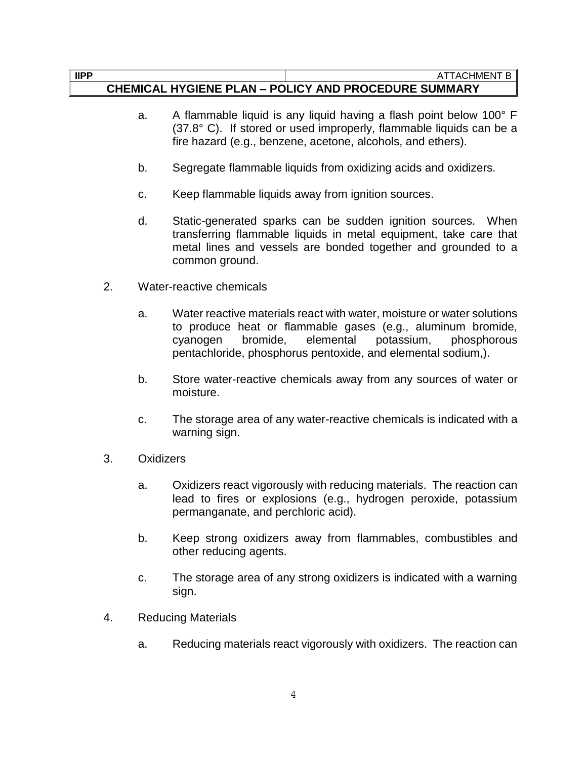- a. A flammable liquid is any liquid having a flash point below 100° F (37.8° C). If stored or used improperly, flammable liquids can be a fire hazard (e.g., benzene, acetone, alcohols, and ethers).
- b. Segregate flammable liquids from oxidizing acids and oxidizers.
- c. Keep flammable liquids away from ignition sources.
- d. Static-generated sparks can be sudden ignition sources. When transferring flammable liquids in metal equipment, take care that metal lines and vessels are bonded together and grounded to a common ground.
- 2. Water-reactive chemicals
	- a. Water reactive materials react with water, moisture or water solutions to produce heat or flammable gases (e.g., aluminum bromide, cyanogen bromide, elemental potassium, phosphorous pentachloride, phosphorus pentoxide, and elemental sodium,).
	- b. Store water-reactive chemicals away from any sources of water or moisture.
	- c. The storage area of any water-reactive chemicals is indicated with a warning sign.
- 3. Oxidizers
	- a. Oxidizers react vigorously with reducing materials. The reaction can lead to fires or explosions (e.g., hydrogen peroxide, potassium permanganate, and perchloric acid).
	- b. Keep strong oxidizers away from flammables, combustibles and other reducing agents.
	- c. The storage area of any strong oxidizers is indicated with a warning sign.
- 4. Reducing Materials
	- a. Reducing materials react vigorously with oxidizers. The reaction can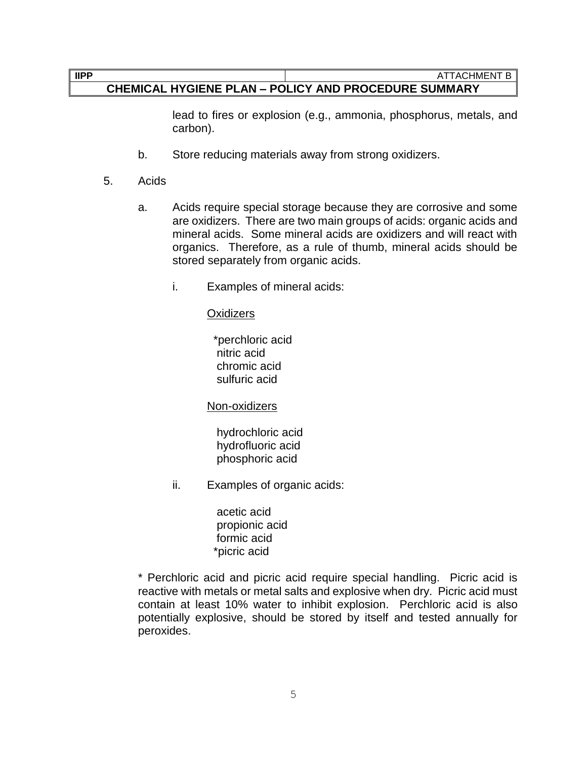#### **CHEMICAL HYGIENE PLAN – POLICY AND PROCEDURE SUMMARY**

lead to fires or explosion (e.g., ammonia, phosphorus, metals, and carbon).

- b. Store reducing materials away from strong oxidizers.
- 5. Acids
	- a. Acids require special storage because they are corrosive and some are oxidizers. There are two main groups of acids: organic acids and mineral acids. Some mineral acids are oxidizers and will react with organics. Therefore, as a rule of thumb, mineral acids should be stored separately from organic acids.
		- i. Examples of mineral acids:

#### **Oxidizers**

 \*perchloric acid nitric acid chromic acid sulfuric acid

Non-oxidizers

 hydrochloric acid hydrofluoric acid phosphoric acid

ii. Examples of organic acids:

 acetic acid propionic acid formic acid \*picric acid

\* Perchloric acid and picric acid require special handling. Picric acid is reactive with metals or metal salts and explosive when dry. Picric acid must contain at least 10% water to inhibit explosion. Perchloric acid is also potentially explosive, should be stored by itself and tested annually for peroxides.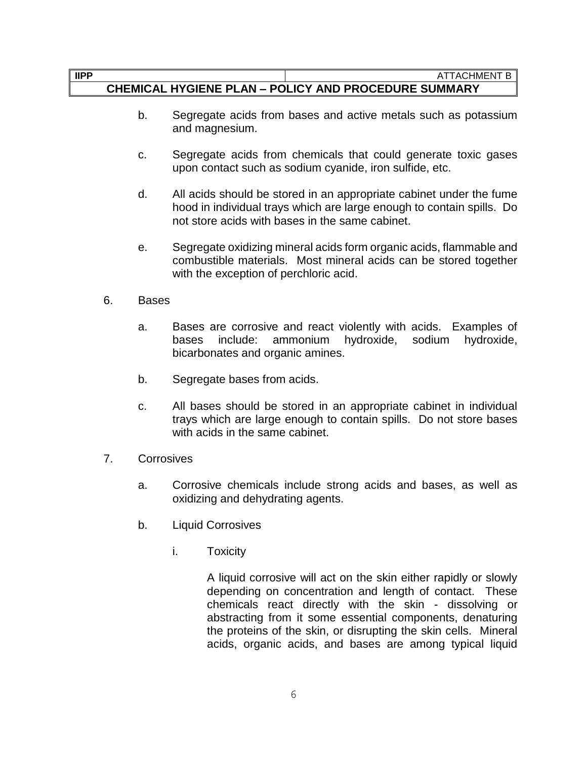#### **IIPP** ATTACHMENT B

#### **CHEMICAL HYGIENE PLAN – POLICY AND PROCEDURE SUMMARY**

- b. Segregate acids from bases and active metals such as potassium and magnesium.
- c. Segregate acids from chemicals that could generate toxic gases upon contact such as sodium cyanide, iron sulfide, etc.
- d. All acids should be stored in an appropriate cabinet under the fume hood in individual trays which are large enough to contain spills. Do not store acids with bases in the same cabinet.
- e. Segregate oxidizing mineral acids form organic acids, flammable and combustible materials. Most mineral acids can be stored together with the exception of perchloric acid.
- 6. Bases
	- a. Bases are corrosive and react violently with acids. Examples of bases include: ammonium hydroxide, sodium hydroxide, bicarbonates and organic amines.
	- b. Segregate bases from acids.
	- c. All bases should be stored in an appropriate cabinet in individual trays which are large enough to contain spills. Do not store bases with acids in the same cabinet.
- 7. Corrosives
	- a. Corrosive chemicals include strong acids and bases, as well as oxidizing and dehydrating agents.
	- b. Liquid Corrosives
		- i. Toxicity

A liquid corrosive will act on the skin either rapidly or slowly depending on concentration and length of contact. These chemicals react directly with the skin - dissolving or abstracting from it some essential components, denaturing the proteins of the skin, or disrupting the skin cells. Mineral acids, organic acids, and bases are among typical liquid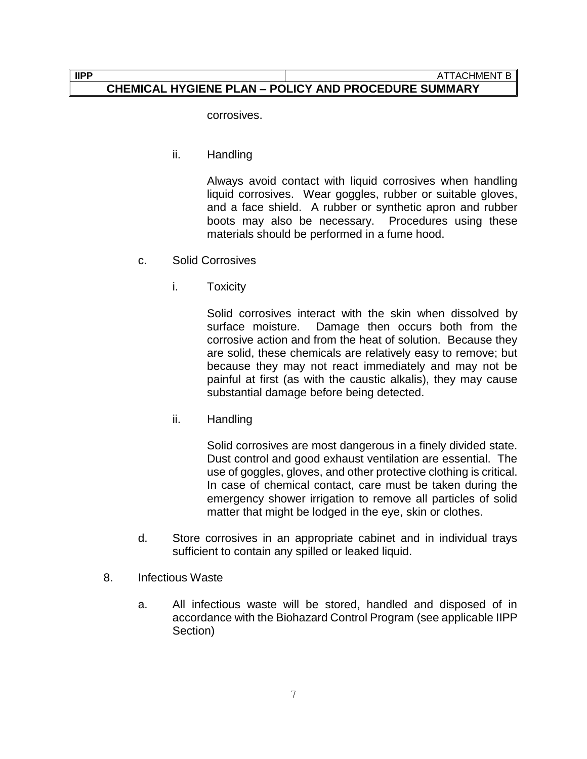corrosives.

ii. Handling

Always avoid contact with liquid corrosives when handling liquid corrosives. Wear goggles, rubber or suitable gloves, and a face shield. A rubber or synthetic apron and rubber boots may also be necessary. Procedures using these materials should be performed in a fume hood.

- c. Solid Corrosives
	- i. Toxicity

Solid corrosives interact with the skin when dissolved by surface moisture. Damage then occurs both from the corrosive action and from the heat of solution. Because they are solid, these chemicals are relatively easy to remove; but because they may not react immediately and may not be painful at first (as with the caustic alkalis), they may cause substantial damage before being detected.

ii. Handling

Solid corrosives are most dangerous in a finely divided state. Dust control and good exhaust ventilation are essential. The use of goggles, gloves, and other protective clothing is critical. In case of chemical contact, care must be taken during the emergency shower irrigation to remove all particles of solid matter that might be lodged in the eye, skin or clothes.

- d. Store corrosives in an appropriate cabinet and in individual trays sufficient to contain any spilled or leaked liquid.
- 8. Infectious Waste
	- a. All infectious waste will be stored, handled and disposed of in accordance with the Biohazard Control Program (see applicable IIPP Section)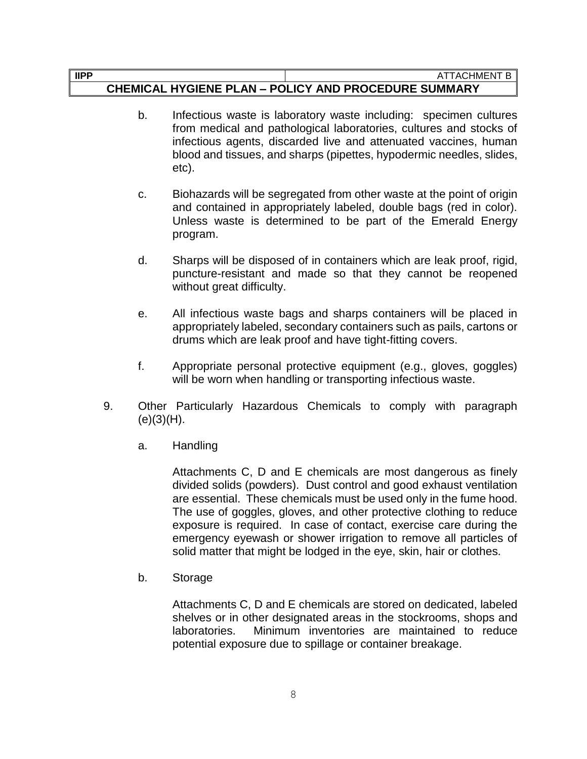#### **IIPP** ATTACHMENT B

#### **CHEMICAL HYGIENE PLAN – POLICY AND PROCEDURE SUMMARY**

- b. Infectious waste is laboratory waste including: specimen cultures from medical and pathological laboratories, cultures and stocks of infectious agents, discarded live and attenuated vaccines, human blood and tissues, and sharps (pipettes, hypodermic needles, slides, etc).
- c. Biohazards will be segregated from other waste at the point of origin and contained in appropriately labeled, double bags (red in color). Unless waste is determined to be part of the Emerald Energy program.
- d. Sharps will be disposed of in containers which are leak proof, rigid, puncture-resistant and made so that they cannot be reopened without great difficulty.
- e. All infectious waste bags and sharps containers will be placed in appropriately labeled, secondary containers such as pails, cartons or drums which are leak proof and have tight-fitting covers.
- f. Appropriate personal protective equipment (e.g., gloves, goggles) will be worn when handling or transporting infectious waste.
- 9. Other Particularly Hazardous Chemicals to comply with paragraph  $(e)(3)(H)$ .
	- a. Handling

Attachments C, D and E chemicals are most dangerous as finely divided solids (powders). Dust control and good exhaust ventilation are essential. These chemicals must be used only in the fume hood. The use of goggles, gloves, and other protective clothing to reduce exposure is required. In case of contact, exercise care during the emergency eyewash or shower irrigation to remove all particles of solid matter that might be lodged in the eye, skin, hair or clothes.

b. Storage

Attachments C, D and E chemicals are stored on dedicated, labeled shelves or in other designated areas in the stockrooms, shops and laboratories. Minimum inventories are maintained to reduce potential exposure due to spillage or container breakage.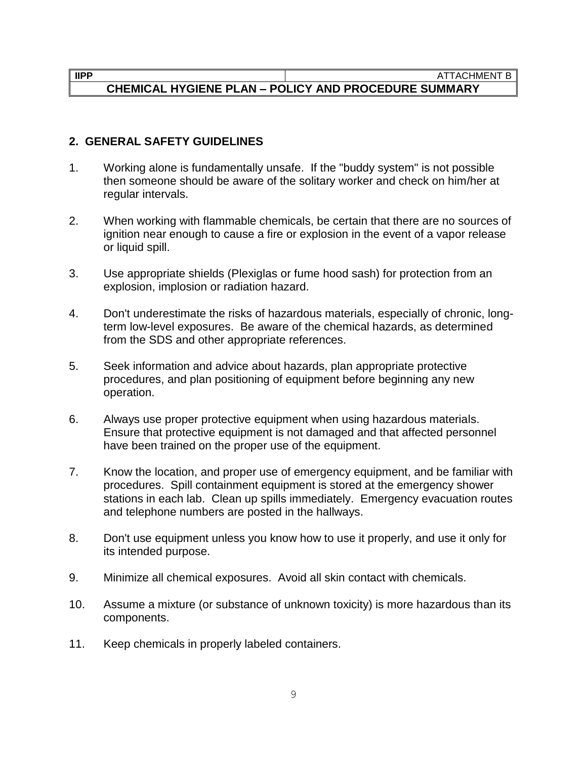#### **IIPP** ATTACHMENT B

## **CHEMICAL HYGIENE PLAN – POLICY AND PROCEDURE SUMMARY**

#### **2. GENERAL SAFETY GUIDELINES**

- 1. Working alone is fundamentally unsafe. If the "buddy system" is not possible then someone should be aware of the solitary worker and check on him/her at regular intervals.
- 2. When working with flammable chemicals, be certain that there are no sources of ignition near enough to cause a fire or explosion in the event of a vapor release or liquid spill.
- 3. Use appropriate shields (Plexiglas or fume hood sash) for protection from an explosion, implosion or radiation hazard.
- 4. Don't underestimate the risks of hazardous materials, especially of chronic, longterm low-level exposures. Be aware of the chemical hazards, as determined from the SDS and other appropriate references.
- 5. Seek information and advice about hazards, plan appropriate protective procedures, and plan positioning of equipment before beginning any new operation.
- 6. Always use proper protective equipment when using hazardous materials. Ensure that protective equipment is not damaged and that affected personnel have been trained on the proper use of the equipment.
- 7. Know the location, and proper use of emergency equipment, and be familiar with procedures. Spill containment equipment is stored at the emergency shower stations in each lab. Clean up spills immediately. Emergency evacuation routes and telephone numbers are posted in the hallways.
- 8. Don't use equipment unless you know how to use it properly, and use it only for its intended purpose.
- 9. Minimize all chemical exposures. Avoid all skin contact with chemicals.
- 10. Assume a mixture (or substance of unknown toxicity) is more hazardous than its components.
- 11. Keep chemicals in properly labeled containers.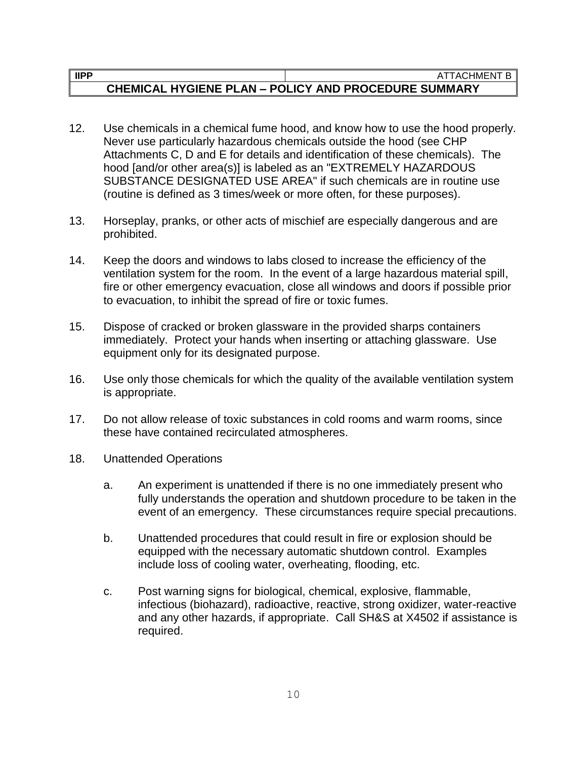- 12. Use chemicals in a chemical fume hood, and know how to use the hood properly. Never use particularly hazardous chemicals outside the hood (see CHP Attachments C, D and E for details and identification of these chemicals). The hood [and/or other area(s)] is labeled as an "EXTREMELY HAZARDOUS SUBSTANCE DESIGNATED USE AREA" if such chemicals are in routine use (routine is defined as 3 times/week or more often, for these purposes).
- 13. Horseplay, pranks, or other acts of mischief are especially dangerous and are prohibited.
- 14. Keep the doors and windows to labs closed to increase the efficiency of the ventilation system for the room. In the event of a large hazardous material spill, fire or other emergency evacuation, close all windows and doors if possible prior to evacuation, to inhibit the spread of fire or toxic fumes.
- 15. Dispose of cracked or broken glassware in the provided sharps containers immediately. Protect your hands when inserting or attaching glassware. Use equipment only for its designated purpose.
- 16. Use only those chemicals for which the quality of the available ventilation system is appropriate.
- 17. Do not allow release of toxic substances in cold rooms and warm rooms, since these have contained recirculated atmospheres.
- 18. Unattended Operations
	- a. An experiment is unattended if there is no one immediately present who fully understands the operation and shutdown procedure to be taken in the event of an emergency. These circumstances require special precautions.
	- b. Unattended procedures that could result in fire or explosion should be equipped with the necessary automatic shutdown control. Examples include loss of cooling water, overheating, flooding, etc.
	- c. Post warning signs for biological, chemical, explosive, flammable, infectious (biohazard), radioactive, reactive, strong oxidizer, water-reactive and any other hazards, if appropriate. Call SH&S at X4502 if assistance is required.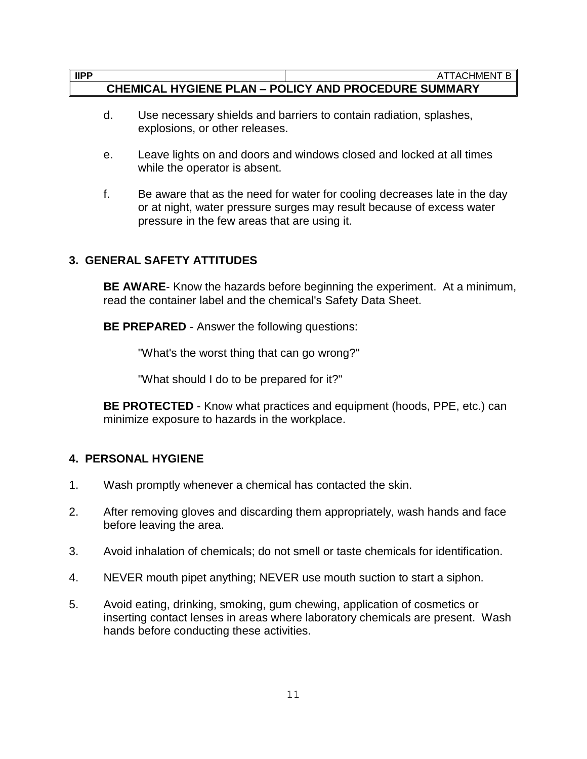- d. Use necessary shields and barriers to contain radiation, splashes, explosions, or other releases.
- e. Leave lights on and doors and windows closed and locked at all times while the operator is absent.
- f. Be aware that as the need for water for cooling decreases late in the day or at night, water pressure surges may result because of excess water pressure in the few areas that are using it.

### **3. GENERAL SAFETY ATTITUDES**

**BE AWARE**- Know the hazards before beginning the experiment. At a minimum, read the container label and the chemical's Safety Data Sheet.

**BE PREPARED** - Answer the following questions:

"What's the worst thing that can go wrong?"

"What should I do to be prepared for it?"

**BE PROTECTED** - Know what practices and equipment (hoods, PPE, etc.) can minimize exposure to hazards in the workplace.

#### **4. PERSONAL HYGIENE**

- 1. Wash promptly whenever a chemical has contacted the skin.
- 2. After removing gloves and discarding them appropriately, wash hands and face before leaving the area.
- 3. Avoid inhalation of chemicals; do not smell or taste chemicals for identification.
- 4. NEVER mouth pipet anything; NEVER use mouth suction to start a siphon.
- 5. Avoid eating, drinking, smoking, gum chewing, application of cosmetics or inserting contact lenses in areas where laboratory chemicals are present. Wash hands before conducting these activities.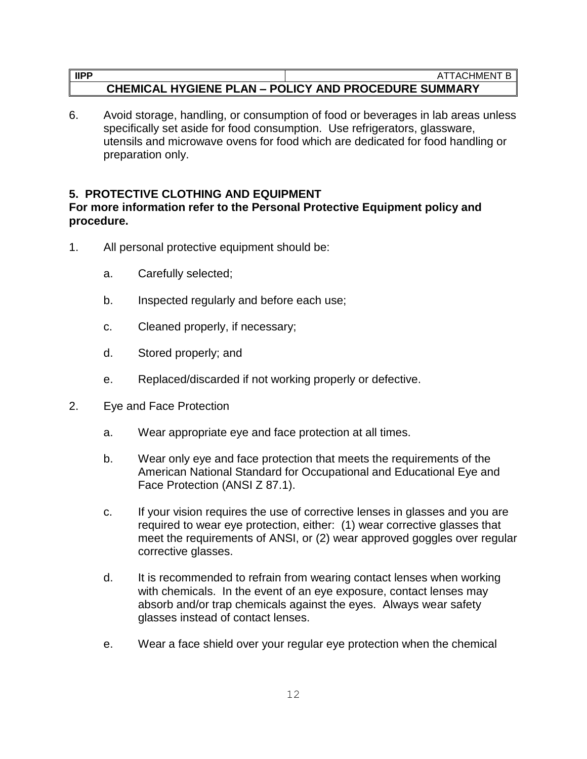6. Avoid storage, handling, or consumption of food or beverages in lab areas unless specifically set aside for food consumption. Use refrigerators, glassware, utensils and microwave ovens for food which are dedicated for food handling or preparation only.

#### **5. PROTECTIVE CLOTHING AND EQUIPMENT**

#### **For more information refer to the Personal Protective Equipment policy and procedure.**

- 1. All personal protective equipment should be:
	- a. Carefully selected;
	- b. Inspected regularly and before each use;
	- c. Cleaned properly, if necessary;
	- d. Stored properly; and
	- e. Replaced/discarded if not working properly or defective.
- 2. Eye and Face Protection
	- a. Wear appropriate eye and face protection at all times.
	- b. Wear only eye and face protection that meets the requirements of the American National Standard for Occupational and Educational Eye and Face Protection (ANSI Z 87.1).
	- c. If your vision requires the use of corrective lenses in glasses and you are required to wear eye protection, either: (1) wear corrective glasses that meet the requirements of ANSI, or (2) wear approved goggles over regular corrective glasses.
	- d. It is recommended to refrain from wearing contact lenses when working with chemicals. In the event of an eye exposure, contact lenses may absorb and/or trap chemicals against the eyes. Always wear safety glasses instead of contact lenses.
	- e. Wear a face shield over your regular eye protection when the chemical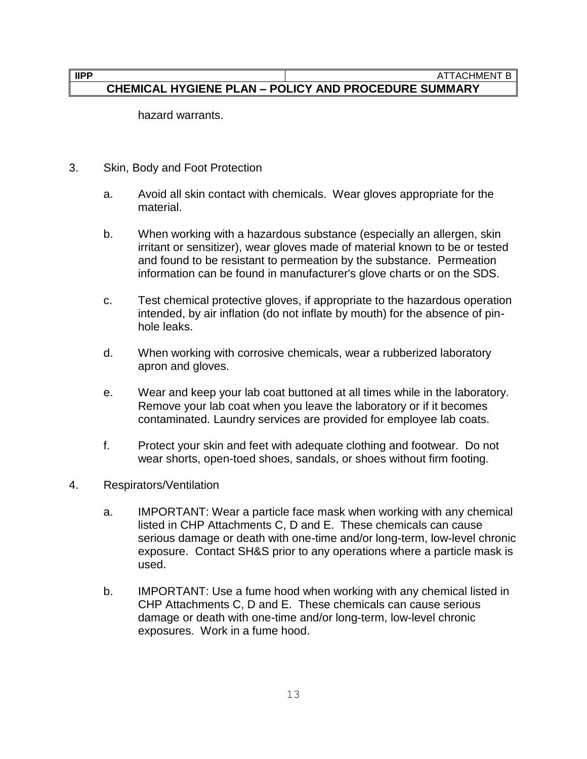hazard warrants.

- 3. Skin, Body and Foot Protection
	- a. Avoid all skin contact with chemicals. Wear gloves appropriate for the material.
	- b. When working with a hazardous substance (especially an allergen, skin irritant or sensitizer), wear gloves made of material known to be or tested and found to be resistant to permeation by the substance. Permeation information can be found in manufacturer's glove charts or on the SDS.
	- c. Test chemical protective gloves, if appropriate to the hazardous operation intended, by air inflation (do not inflate by mouth) for the absence of pinhole leaks.
	- d. When working with corrosive chemicals, wear a rubberized laboratory apron and gloves.
	- e. Wear and keep your lab coat buttoned at all times while in the laboratory. Remove your lab coat when you leave the laboratory or if it becomes contaminated. Laundry services are provided for employee lab coats.
	- f. Protect your skin and feet with adequate clothing and footwear. Do not wear shorts, open-toed shoes, sandals, or shoes without firm footing.
- 4. Respirators/Ventilation
	- a. IMPORTANT: Wear a particle face mask when working with any chemical listed in CHP Attachments C, D and E. These chemicals can cause serious damage or death with one-time and/or long-term, low-level chronic exposure. Contact SH&S prior to any operations where a particle mask is used.
	- b. IMPORTANT: Use a fume hood when working with any chemical listed in CHP Attachments C, D and E. These chemicals can cause serious damage or death with one-time and/or long-term, low-level chronic exposures. Work in a fume hood.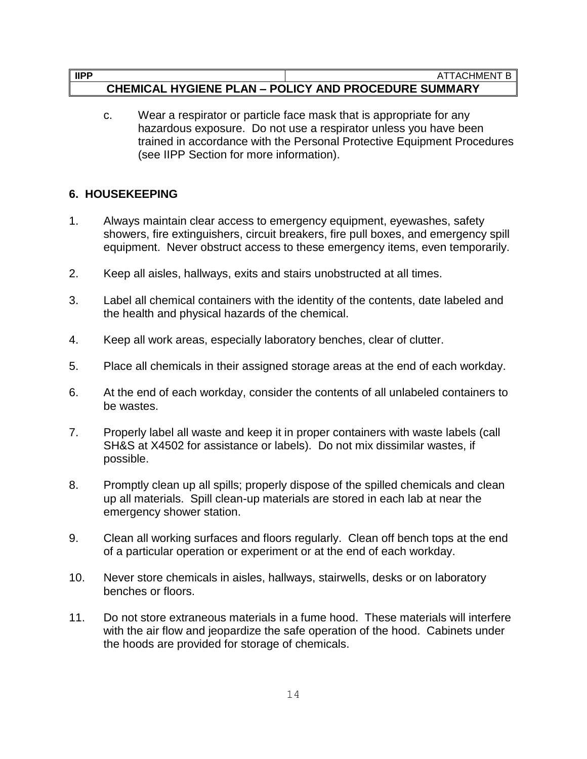c. Wear a respirator or particle face mask that is appropriate for any hazardous exposure. Do not use a respirator unless you have been trained in accordance with the Personal Protective Equipment Procedures (see IIPP Section for more information).

## **6. HOUSEKEEPING**

- 1. Always maintain clear access to emergency equipment, eyewashes, safety showers, fire extinguishers, circuit breakers, fire pull boxes, and emergency spill equipment. Never obstruct access to these emergency items, even temporarily.
- 2. Keep all aisles, hallways, exits and stairs unobstructed at all times.
- 3. Label all chemical containers with the identity of the contents, date labeled and the health and physical hazards of the chemical.
- 4. Keep all work areas, especially laboratory benches, clear of clutter.
- 5. Place all chemicals in their assigned storage areas at the end of each workday.
- 6. At the end of each workday, consider the contents of all unlabeled containers to be wastes.
- 7. Properly label all waste and keep it in proper containers with waste labels (call SH&S at X4502 for assistance or labels). Do not mix dissimilar wastes, if possible.
- 8. Promptly clean up all spills; properly dispose of the spilled chemicals and clean up all materials. Spill clean-up materials are stored in each lab at near the emergency shower station.
- 9. Clean all working surfaces and floors regularly. Clean off bench tops at the end of a particular operation or experiment or at the end of each workday.
- 10. Never store chemicals in aisles, hallways, stairwells, desks or on laboratory benches or floors.
- 11. Do not store extraneous materials in a fume hood. These materials will interfere with the air flow and jeopardize the safe operation of the hood. Cabinets under the hoods are provided for storage of chemicals.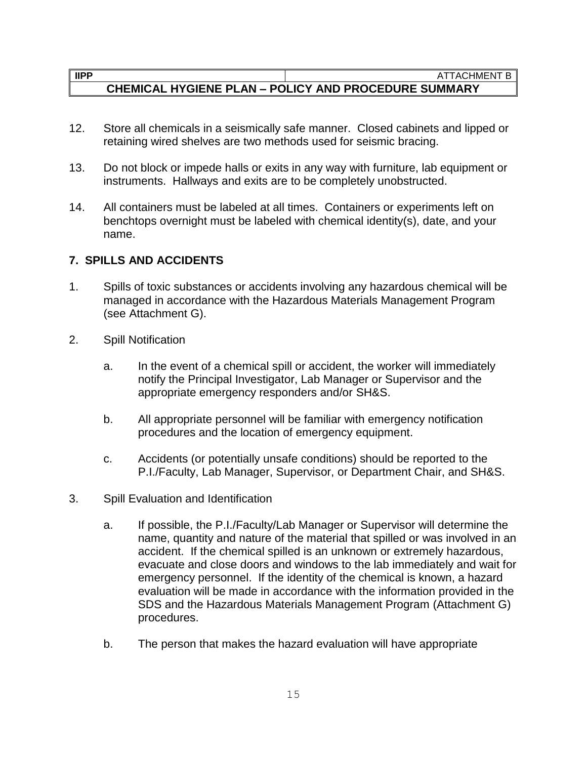- 12. Store all chemicals in a seismically safe manner. Closed cabinets and lipped or retaining wired shelves are two methods used for seismic bracing.
- 13. Do not block or impede halls or exits in any way with furniture, lab equipment or instruments. Hallways and exits are to be completely unobstructed.
- 14. All containers must be labeled at all times. Containers or experiments left on benchtops overnight must be labeled with chemical identity(s), date, and your name.

#### **7. SPILLS AND ACCIDENTS**

- 1. Spills of toxic substances or accidents involving any hazardous chemical will be managed in accordance with the Hazardous Materials Management Program (see Attachment G).
- 2. Spill Notification
	- a. In the event of a chemical spill or accident, the worker will immediately notify the Principal Investigator, Lab Manager or Supervisor and the appropriate emergency responders and/or SH&S.
	- b. All appropriate personnel will be familiar with emergency notification procedures and the location of emergency equipment.
	- c. Accidents (or potentially unsafe conditions) should be reported to the P.I./Faculty, Lab Manager, Supervisor, or Department Chair, and SH&S.
- 3. Spill Evaluation and Identification
	- a. If possible, the P.I./Faculty/Lab Manager or Supervisor will determine the name, quantity and nature of the material that spilled or was involved in an accident. If the chemical spilled is an unknown or extremely hazardous, evacuate and close doors and windows to the lab immediately and wait for emergency personnel. If the identity of the chemical is known, a hazard evaluation will be made in accordance with the information provided in the SDS and the Hazardous Materials Management Program (Attachment G) procedures.
	- b. The person that makes the hazard evaluation will have appropriate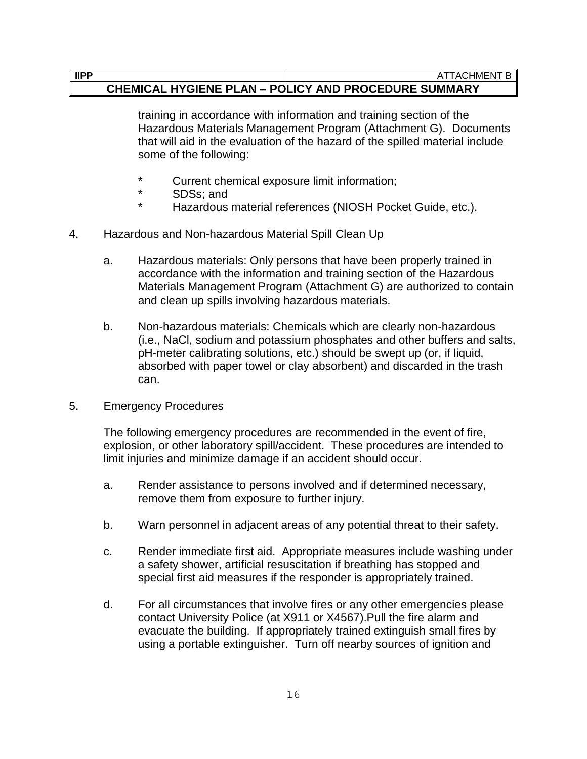#### **IIPP** ATTACHMENT B

#### **CHEMICAL HYGIENE PLAN – POLICY AND PROCEDURE SUMMARY**

training in accordance with information and training section of the Hazardous Materials Management Program (Attachment G). Documents that will aid in the evaluation of the hazard of the spilled material include some of the following:

- Current chemical exposure limit information;
- \* SDSs; and
- Hazardous material references (NIOSH Pocket Guide, etc.).
- 4. Hazardous and Non-hazardous Material Spill Clean Up
	- a. Hazardous materials: Only persons that have been properly trained in accordance with the information and training section of the Hazardous Materials Management Program (Attachment G) are authorized to contain and clean up spills involving hazardous materials.
	- b. Non-hazardous materials: Chemicals which are clearly non-hazardous (i.e., NaCl, sodium and potassium phosphates and other buffers and salts, pH-meter calibrating solutions, etc.) should be swept up (or, if liquid, absorbed with paper towel or clay absorbent) and discarded in the trash can.
- 5. Emergency Procedures

The following emergency procedures are recommended in the event of fire, explosion, or other laboratory spill/accident. These procedures are intended to limit injuries and minimize damage if an accident should occur.

- a. Render assistance to persons involved and if determined necessary, remove them from exposure to further injury.
- b. Warn personnel in adjacent areas of any potential threat to their safety.
- c. Render immediate first aid. Appropriate measures include washing under a safety shower, artificial resuscitation if breathing has stopped and special first aid measures if the responder is appropriately trained.
- d. For all circumstances that involve fires or any other emergencies please contact University Police (at X911 or X4567).Pull the fire alarm and evacuate the building. If appropriately trained extinguish small fires by using a portable extinguisher. Turn off nearby sources of ignition and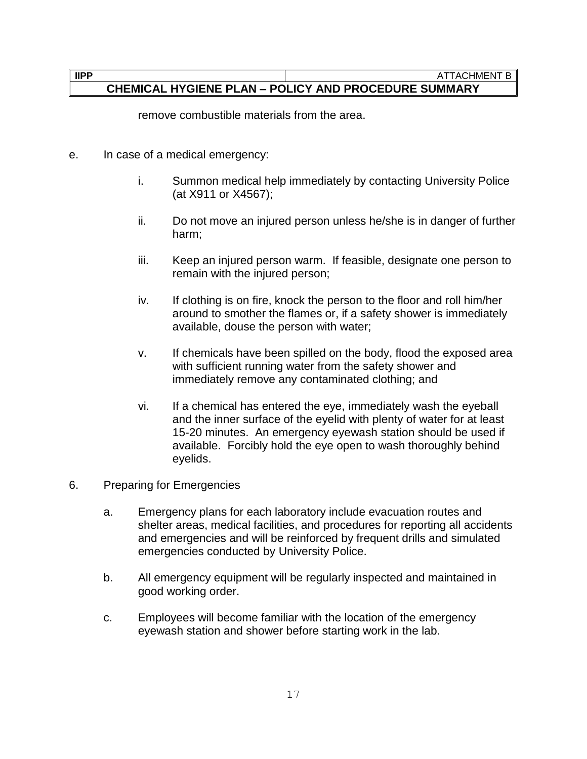remove combustible materials from the area.

- e. In case of a medical emergency:
	- i. Summon medical help immediately by contacting University Police (at X911 or X4567);
	- ii. Do not move an injured person unless he/she is in danger of further harm;
	- iii. Keep an injured person warm. If feasible, designate one person to remain with the injured person;
	- iv. If clothing is on fire, knock the person to the floor and roll him/her around to smother the flames or, if a safety shower is immediately available, douse the person with water;
	- v. If chemicals have been spilled on the body, flood the exposed area with sufficient running water from the safety shower and immediately remove any contaminated clothing; and
	- vi. If a chemical has entered the eye, immediately wash the eyeball and the inner surface of the eyelid with plenty of water for at least 15-20 minutes. An emergency eyewash station should be used if available. Forcibly hold the eye open to wash thoroughly behind eyelids.
- 6. Preparing for Emergencies
	- a. Emergency plans for each laboratory include evacuation routes and shelter areas, medical facilities, and procedures for reporting all accidents and emergencies and will be reinforced by frequent drills and simulated emergencies conducted by University Police.
	- b. All emergency equipment will be regularly inspected and maintained in good working order.
	- c. Employees will become familiar with the location of the emergency eyewash station and shower before starting work in the lab.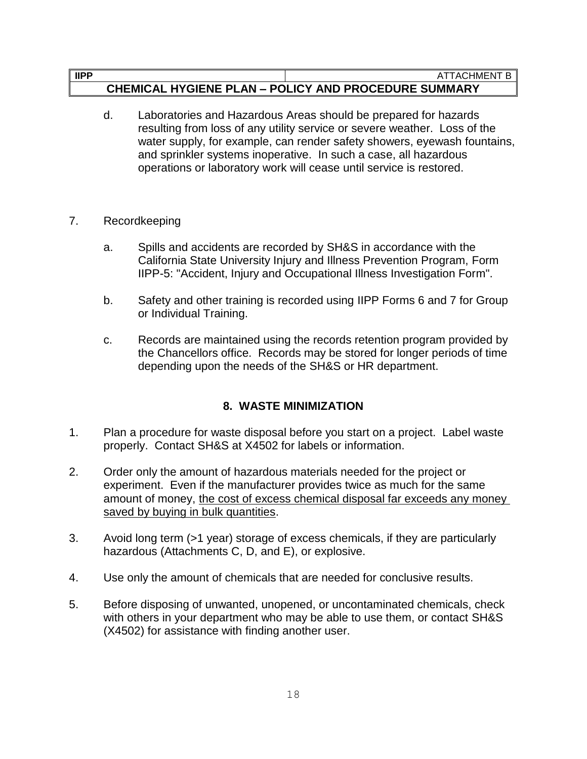- d. Laboratories and Hazardous Areas should be prepared for hazards resulting from loss of any utility service or severe weather. Loss of the water supply, for example, can render safety showers, eyewash fountains, and sprinkler systems inoperative. In such a case, all hazardous operations or laboratory work will cease until service is restored.
- 7. Recordkeeping
	- a. Spills and accidents are recorded by SH&S in accordance with the California State University Injury and Illness Prevention Program, Form IIPP-5: "Accident, Injury and Occupational Illness Investigation Form".
	- b. Safety and other training is recorded using IIPP Forms 6 and 7 for Group or Individual Training.
	- c. Records are maintained using the records retention program provided by the Chancellors office. Records may be stored for longer periods of time depending upon the needs of the SH&S or HR department.

## **8. WASTE MINIMIZATION**

- 1. Plan a procedure for waste disposal before you start on a project. Label waste properly. Contact SH&S at X4502 for labels or information.
- 2. Order only the amount of hazardous materials needed for the project or experiment. Even if the manufacturer provides twice as much for the same amount of money, the cost of excess chemical disposal far exceeds any money saved by buying in bulk quantities.
- 3. Avoid long term (>1 year) storage of excess chemicals, if they are particularly hazardous (Attachments C, D, and E), or explosive.
- 4. Use only the amount of chemicals that are needed for conclusive results.
- 5. Before disposing of unwanted, unopened, or uncontaminated chemicals, check with others in your department who may be able to use them, or contact SH&S (X4502) for assistance with finding another user.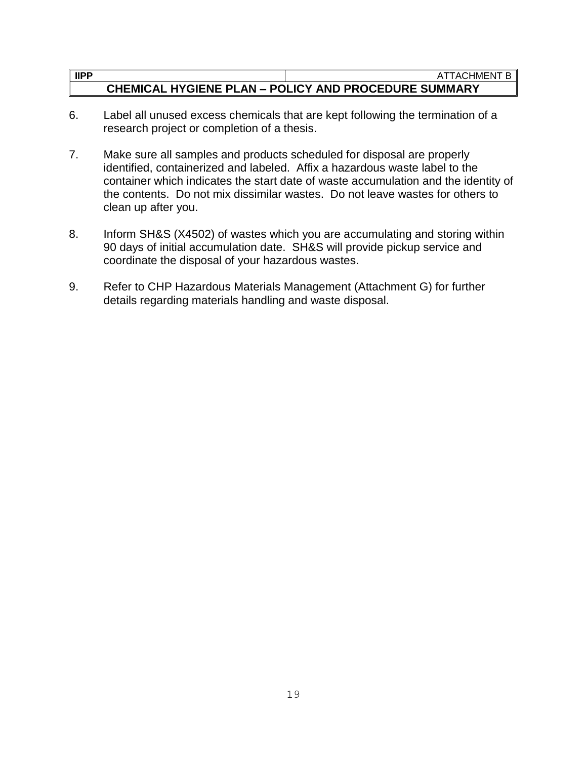- 6. Label all unused excess chemicals that are kept following the termination of a research project or completion of a thesis.
- 7. Make sure all samples and products scheduled for disposal are properly identified, containerized and labeled. Affix a hazardous waste label to the container which indicates the start date of waste accumulation and the identity of the contents. Do not mix dissimilar wastes. Do not leave wastes for others to clean up after you.
- 8. Inform SH&S (X4502) of wastes which you are accumulating and storing within 90 days of initial accumulation date. SH&S will provide pickup service and coordinate the disposal of your hazardous wastes.
- 9. Refer to CHP Hazardous Materials Management (Attachment G) for further details regarding materials handling and waste disposal.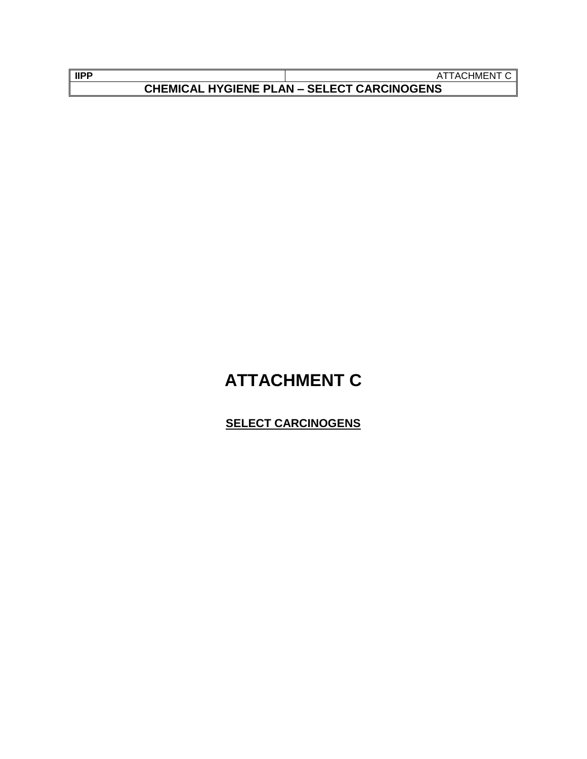| <b>IIPP</b>                                       | :HMEN<br>TACE |
|---------------------------------------------------|---------------|
| <b>CHEMICAL HYGIENE PLAN - SELECT CARCINOGENS</b> |               |

## **ATTACHMENT C**

## **SELECT CARCINOGENS**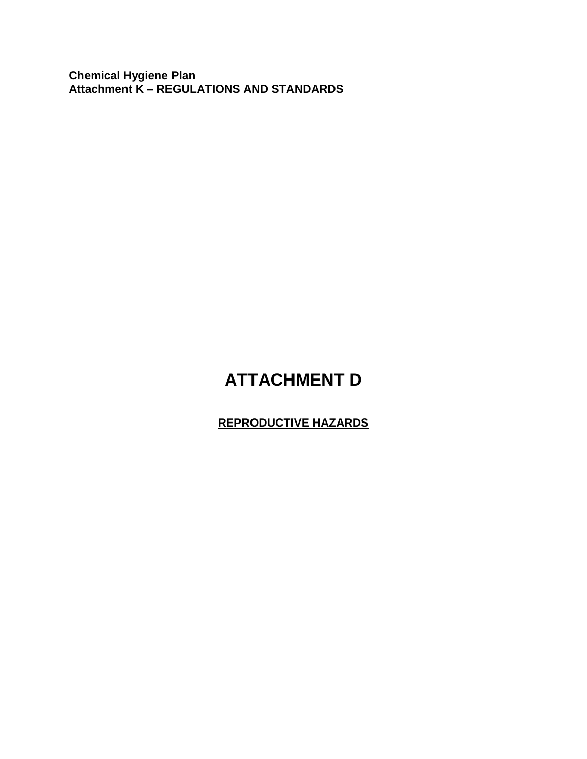**Chemical Hygiene Plan Attachment K – REGULATIONS AND STANDARDS**

## **ATTACHMENT D**

## **REPRODUCTIVE HAZARDS**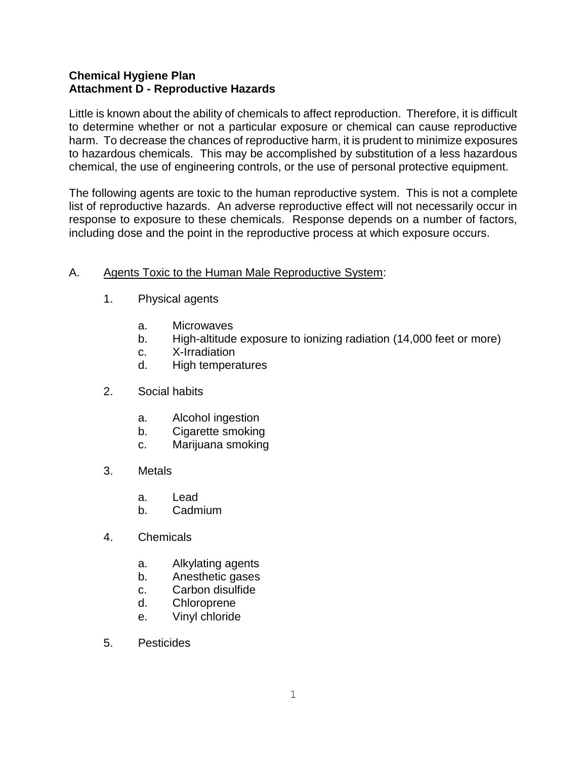Little is known about the ability of chemicals to affect reproduction. Therefore, it is difficult to determine whether or not a particular exposure or chemical can cause reproductive harm. To decrease the chances of reproductive harm, it is prudent to minimize exposures to hazardous chemicals. This may be accomplished by substitution of a less hazardous chemical, the use of engineering controls, or the use of personal protective equipment.

The following agents are toxic to the human reproductive system. This is not a complete list of reproductive hazards. An adverse reproductive effect will not necessarily occur in response to exposure to these chemicals. Response depends on a number of factors, including dose and the point in the reproductive process at which exposure occurs.

## A. Agents Toxic to the Human Male Reproductive System:

- 1. Physical agents
	- a. Microwaves
	- b. High-altitude exposure to ionizing radiation (14,000 feet or more)
	- c. X-Irradiation
	- d. High temperatures
- 2. Social habits
	- a. Alcohol ingestion
	- b. Cigarette smoking
	- c. Marijuana smoking
- 3. Metals
	- a. Lead
	- b. Cadmium
- 4. Chemicals
	- a. Alkylating agents
	- b. Anesthetic gases
	- c. Carbon disulfide
	- d. Chloroprene
	- e. Vinyl chloride
- 5. Pesticides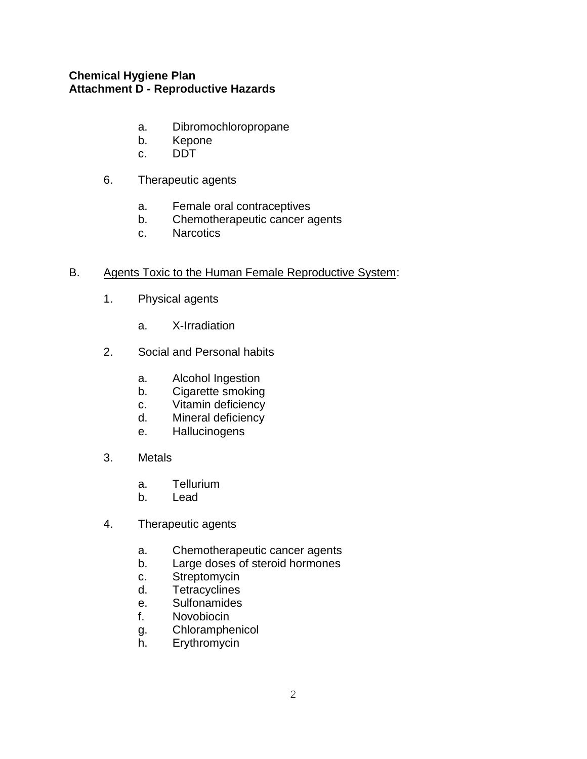- a. Dibromochloropropane
- b. Kepone
- c. DDT
- 6. Therapeutic agents
	- a. Female oral contraceptives
	- b. Chemotherapeutic cancer agents
	- c. Narcotics

#### B. Agents Toxic to the Human Female Reproductive System:

- 1. Physical agents
	- a. X-Irradiation
- 2. Social and Personal habits
	- a. Alcohol Ingestion
	- b. Cigarette smoking
	- c. Vitamin deficiency
	- d. Mineral deficiency
	- e. Hallucinogens
- 3. Metals
	- a. Tellurium
	- b. Lead
- 4. Therapeutic agents
	- a. Chemotherapeutic cancer agents
	- b. Large doses of steroid hormones
	- c. Streptomycin
	- d. Tetracyclines
	- e. Sulfonamides
	- f. Novobiocin
	- g. Chloramphenicol
	- h. Erythromycin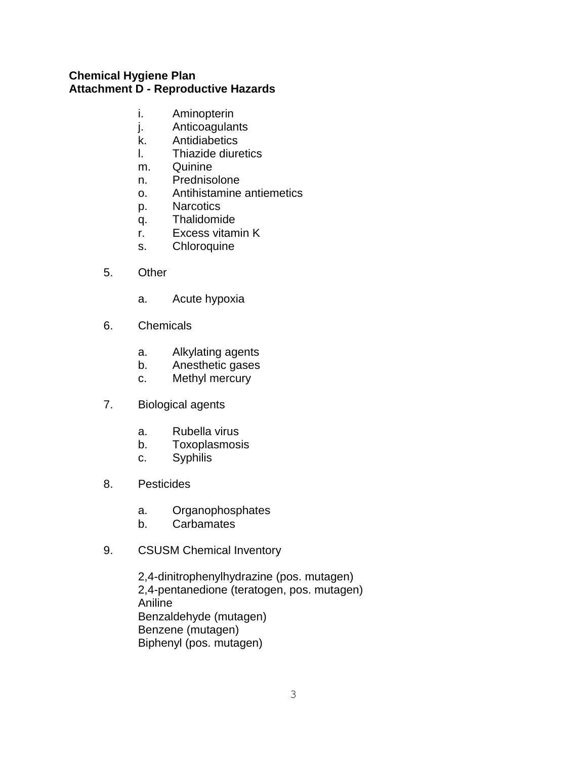- i. Aminopterin
- j. Anticoagulants
- k. Antidiabetics
- l. Thiazide diuretics
- m. Quinine
- n. Prednisolone
- o. Antihistamine antiemetics
- p. Narcotics
- q. Thalidomide
- r. Excess vitamin K
- s. Chloroquine
- 5. Other
	- a. Acute hypoxia
- 6. Chemicals
	- a. Alkylating agents
	- b. Anesthetic gases
	- c. Methyl mercury
- 7. Biological agents
	- a. Rubella virus
	- b. Toxoplasmosis
	- c. Syphilis
- 8. Pesticides
	- a. Organophosphates
	- b. Carbamates
- 9. CSUSM Chemical Inventory

2,4-dinitrophenylhydrazine (pos. mutagen) 2,4-pentanedione (teratogen, pos. mutagen) Aniline Benzaldehyde (mutagen) Benzene (mutagen) Biphenyl (pos. mutagen)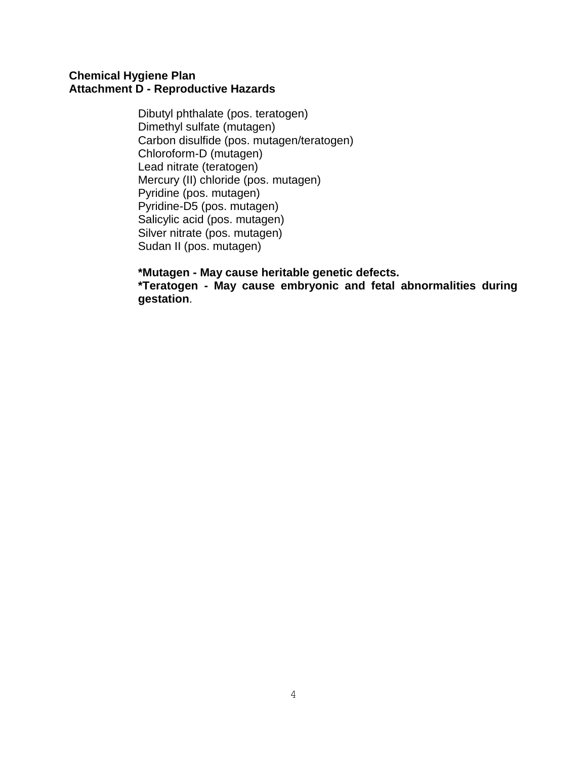Dibutyl phthalate (pos. teratogen) Dimethyl sulfate (mutagen) Carbon disulfide (pos. mutagen/teratogen) Chloroform-D (mutagen) Lead nitrate (teratogen) Mercury (II) chloride (pos. mutagen) Pyridine (pos. mutagen) Pyridine-D5 (pos. mutagen) Salicylic acid (pos. mutagen) Silver nitrate (pos. mutagen) Sudan II (pos. mutagen)

**\*Mutagen - May cause heritable genetic defects.**

**\*Teratogen - May cause embryonic and fetal abnormalities during gestation**.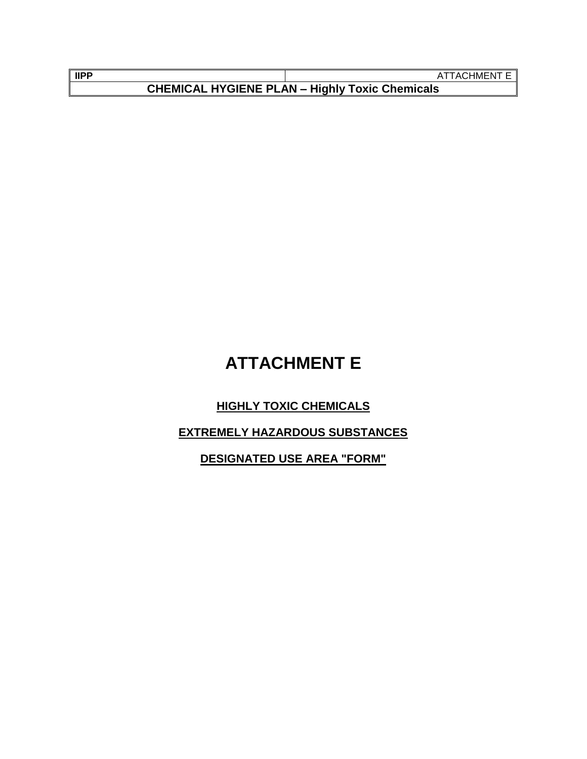| <b>IIPP</b>                                           | ATTACHMENT E II |
|-------------------------------------------------------|-----------------|
| <b>CHEMICAL HYGIENE PLAN - Highly Toxic Chemicals</b> |                 |

## **ATTACHMENT E**

## **HIGHLY TOXIC CHEMICALS**

## **EXTREMELY HAZARDOUS SUBSTANCES**

**DESIGNATED USE AREA "FORM"**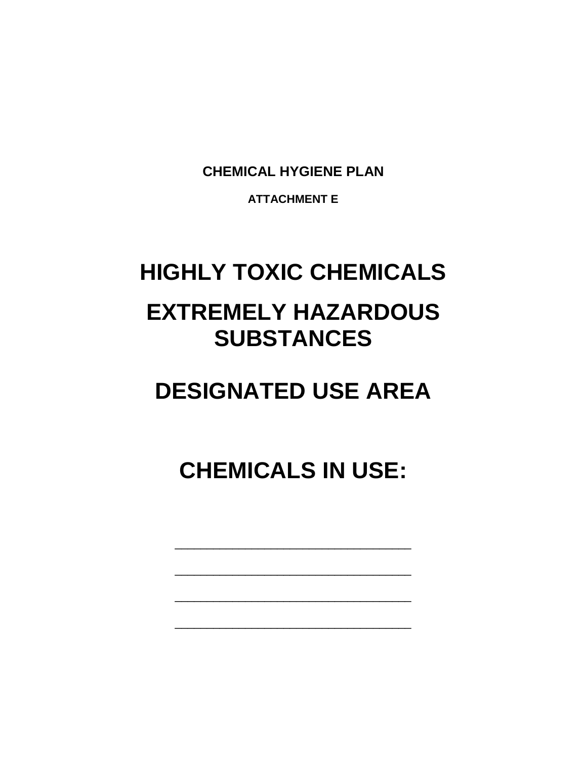**CHEMICAL HYGIENE PLAN**

**ATTACHMENT E**

# **HIGHLY TOXIC CHEMICALS EXTREMELY HAZARDOUS SUBSTANCES**

# **DESIGNATED USE AREA**

**CHEMICALS IN USE:**

\_\_\_\_\_\_\_\_\_\_\_\_\_\_\_\_\_\_\_\_\_\_\_\_\_\_\_\_\_\_\_\_\_\_\_\_\_

\_\_\_\_\_\_\_\_\_\_\_\_\_\_\_\_\_\_\_\_\_\_\_\_\_\_\_\_\_\_\_\_\_\_\_\_\_

\_\_\_\_\_\_\_\_\_\_\_\_\_\_\_\_\_\_\_\_\_\_\_\_\_\_\_\_\_\_\_\_\_\_\_\_\_

\_\_\_\_\_\_\_\_\_\_\_\_\_\_\_\_\_\_\_\_\_\_\_\_\_\_\_\_\_\_\_\_\_\_\_\_\_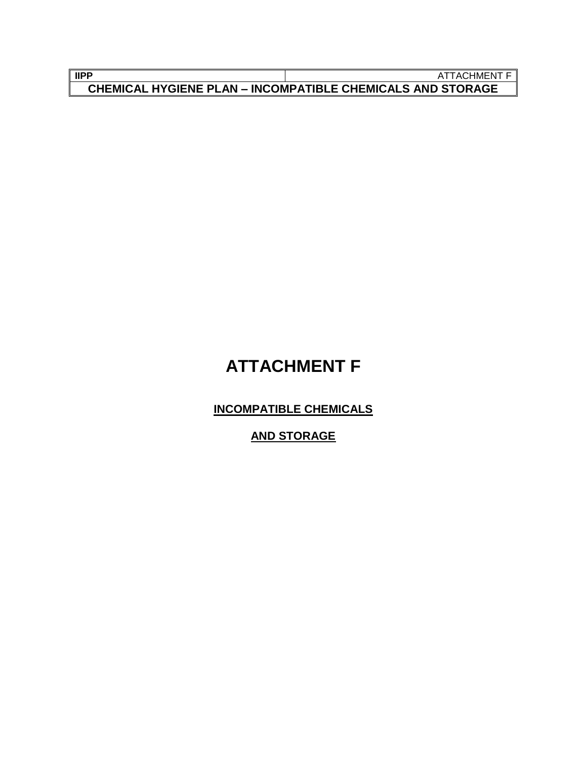| <b>IIPP</b>                                                       | ATTACHMENT |
|-------------------------------------------------------------------|------------|
| <b>CHEMICAL HYGIENE PLAN - INCOMPATIBLE CHEMICALS AND STORAGE</b> |            |

## **ATTACHMENT F**

**INCOMPATIBLE CHEMICALS**

**AND STORAGE**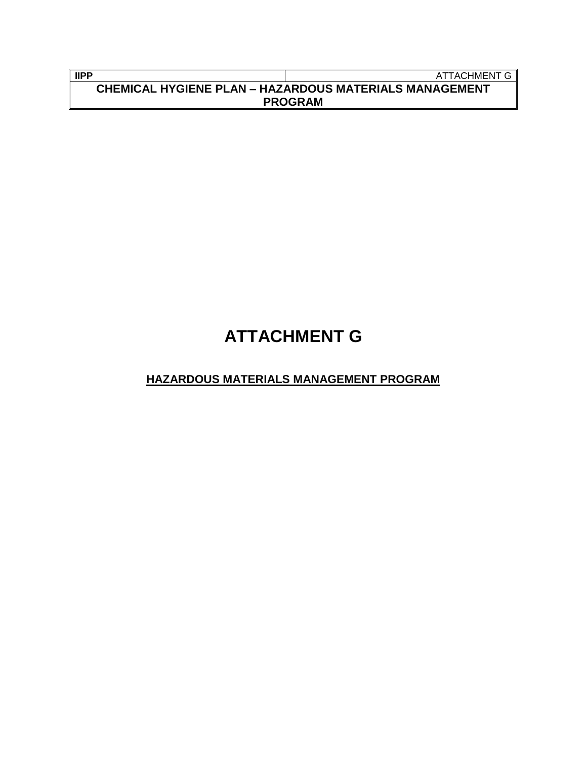| l lipp                                                        | ATTACHMENT G I |
|---------------------------------------------------------------|----------------|
| <b>CHEMICAL HYGIENE PLAN - HAZARDOUS MATERIALS MANAGEMENT</b> |                |
| <b>PROGRAM</b>                                                |                |

## **ATTACHMENT G**

## **HAZARDOUS MATERIALS MANAGEMENT PROGRAM**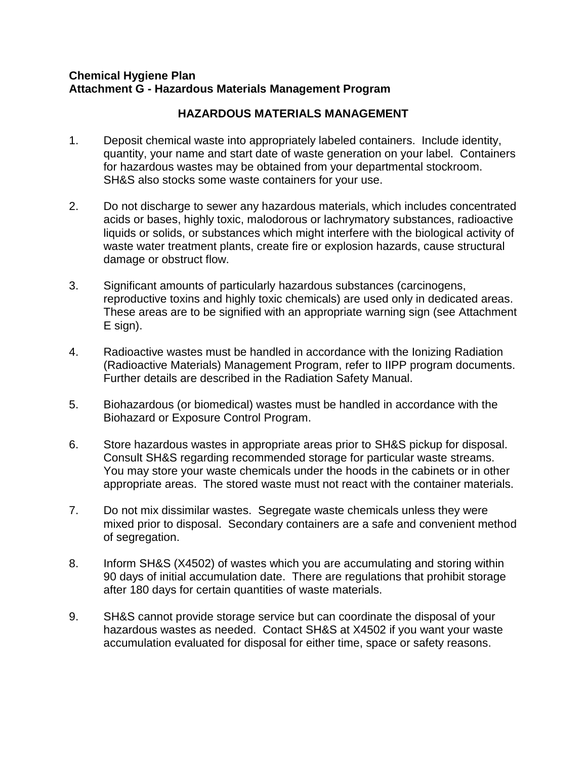#### **Chemical Hygiene Plan Attachment G - Hazardous Materials Management Program**

### **HAZARDOUS MATERIALS MANAGEMENT**

- 1. Deposit chemical waste into appropriately labeled containers. Include identity, quantity, your name and start date of waste generation on your label. Containers for hazardous wastes may be obtained from your departmental stockroom. SH&S also stocks some waste containers for your use.
- 2. Do not discharge to sewer any hazardous materials, which includes concentrated acids or bases, highly toxic, malodorous or lachrymatory substances, radioactive liquids or solids, or substances which might interfere with the biological activity of waste water treatment plants, create fire or explosion hazards, cause structural damage or obstruct flow.
- 3. Significant amounts of particularly hazardous substances (carcinogens, reproductive toxins and highly toxic chemicals) are used only in dedicated areas. These areas are to be signified with an appropriate warning sign (see Attachment E sign).
- 4. Radioactive wastes must be handled in accordance with the Ionizing Radiation (Radioactive Materials) Management Program, refer to IIPP program documents. Further details are described in the Radiation Safety Manual.
- 5. Biohazardous (or biomedical) wastes must be handled in accordance with the Biohazard or Exposure Control Program.
- 6. Store hazardous wastes in appropriate areas prior to SH&S pickup for disposal. Consult SH&S regarding recommended storage for particular waste streams. You may store your waste chemicals under the hoods in the cabinets or in other appropriate areas. The stored waste must not react with the container materials.
- 7. Do not mix dissimilar wastes. Segregate waste chemicals unless they were mixed prior to disposal. Secondary containers are a safe and convenient method of segregation.
- 8. Inform SH&S (X4502) of wastes which you are accumulating and storing within 90 days of initial accumulation date. There are regulations that prohibit storage after 180 days for certain quantities of waste materials.
- 9. SH&S cannot provide storage service but can coordinate the disposal of your hazardous wastes as needed. Contact SH&S at X4502 if you want your waste accumulation evaluated for disposal for either time, space or safety reasons.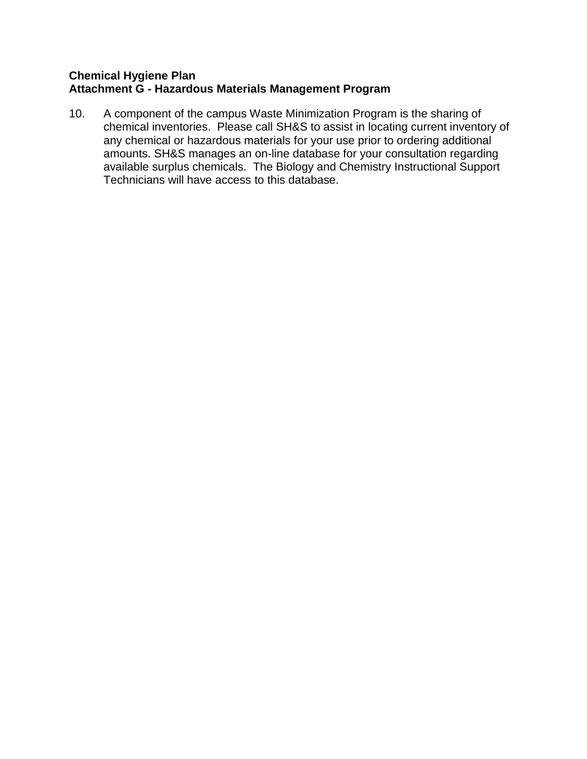#### **Chemical Hygiene Plan Attachment G - Hazardous Materials Management Program**

10. A component of the campus Waste Minimization Program is the sharing of chemical inventories. Please call SH&S to assist in locating current inventory of any chemical or hazardous materials for your use prior to ordering additional amounts. SH&S manages an on-line database for your consultation regarding available surplus chemicals. The Biology and Chemistry Instructional Support Technicians will have access to this database.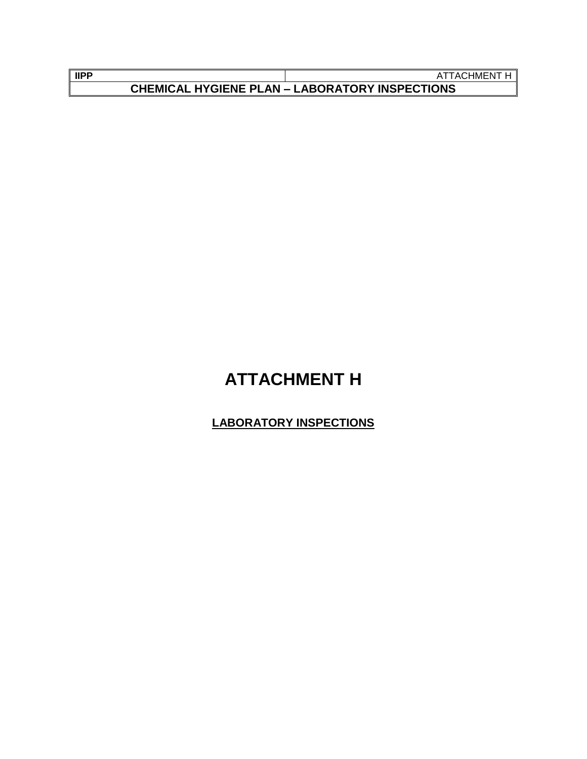| <b>IIPP</b>                                           | . ACHMENT |
|-------------------------------------------------------|-----------|
| <b>CHEMICAL HYGIENE PLAN - LABORATORY INSPECTIONS</b> |           |

## **ATTACHMENT H**

## **LABORATORY INSPECTIONS**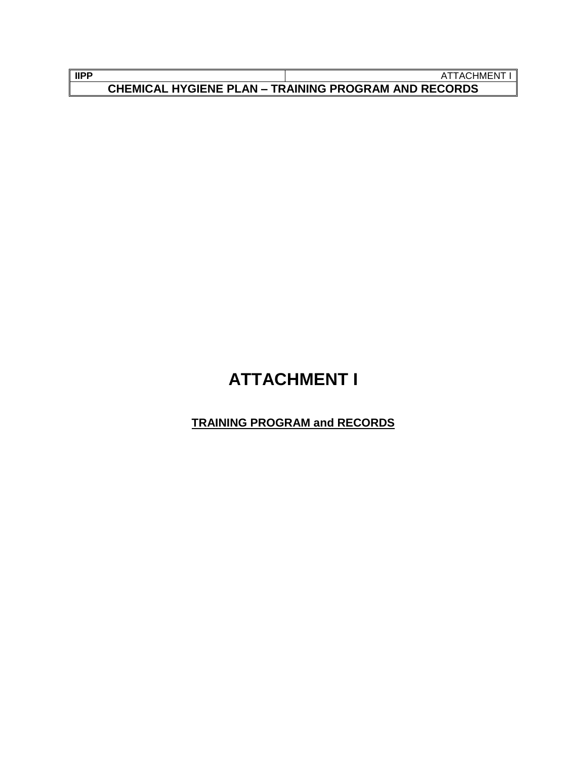| <b>IIPP</b>                                                 | ACHMEN <sup>-</sup> |
|-------------------------------------------------------------|---------------------|
| <b>CHEMICAL HYGIENE PLAN - TRAINING PROGRAM AND RECORDS</b> |                     |

## **ATTACHMENT I**

## **TRAINING PROGRAM and RECORDS**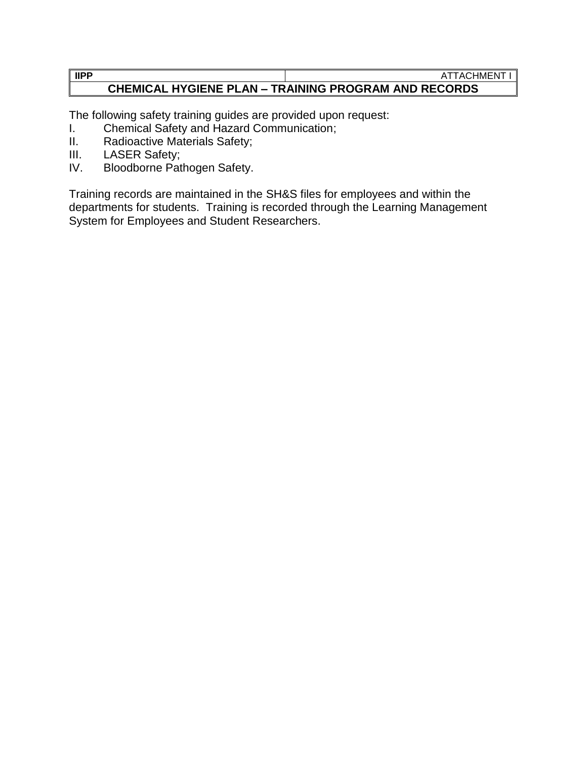#### **IIPP** ATTACHMENT I **CHEMICAL HYGIENE PLAN – TRAINING PROGRAM AND RECORDS**

The following safety training guides are provided upon request:

- I. Chemical Safety and Hazard Communication;
- II. Radioactive Materials Safety;
- III. LASER Safety;
- IV. Bloodborne Pathogen Safety.

Training records are maintained in the SH&S files for employees and within the departments for students. Training is recorded through the Learning Management System for Employees and Student Researchers.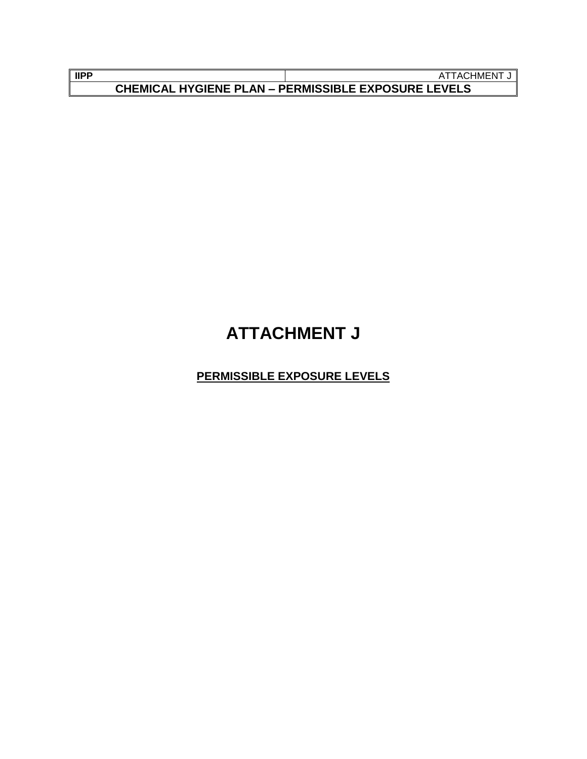| <b>IIPP</b>                                              | . ACHMENT |
|----------------------------------------------------------|-----------|
| L HYGIENE PLAN – PERMISSIBLE EXPOSURE LEVELS<br>CHEMICAL |           |

## **ATTACHMENT J**

**PERMISSIBLE EXPOSURE LEVELS**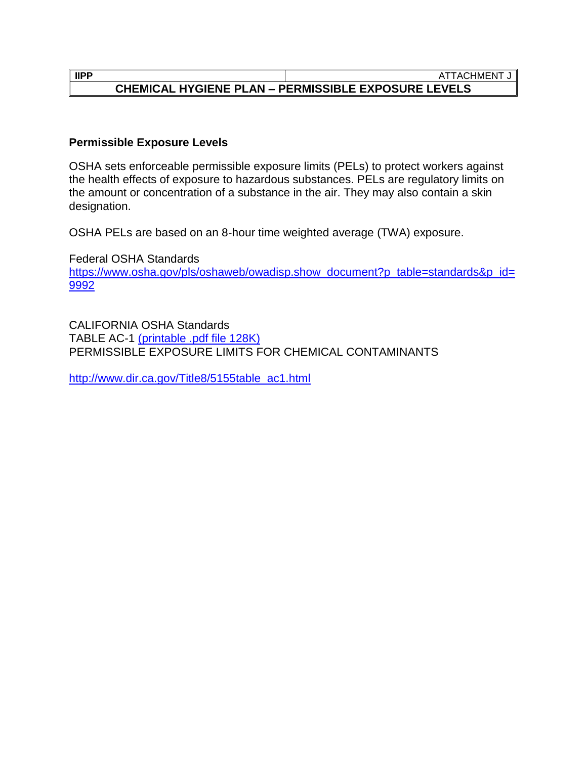#### **IIPP** ATTACHMENT J **CHEMICAL HYGIENE PLAN – PERMISSIBLE EXPOSURE LEVELS**

#### **Permissible Exposure Levels**

OSHA sets enforceable permissible exposure limits (PELs) to protect workers against the health effects of exposure to hazardous substances. PELs are regulatory limits on the amount or concentration of a substance in the air. They may also contain a skin designation.

OSHA PELs are based on an 8-hour time weighted average (TWA) exposure.

Federal OSHA Standards [https://www.osha.gov/pls/oshaweb/owadisp.show\\_document?p\\_table=standards&p\\_id=](https://www.osha.gov/pls/oshaweb/owadisp.show_document?p_table=standards&p_id=9992) [9992](https://www.osha.gov/pls/oshaweb/owadisp.show_document?p_table=standards&p_id=9992)

CALIFORNIA OSHA Standards TABLE AC-1 [\(printable .pdf file 128K\)](http://www.dir.ca.gov/Title8/ac1.pdf) PERMISSIBLE EXPOSURE LIMITS FOR CHEMICAL CONTAMINANTS

[http://www.dir.ca.gov/Title8/5155table\\_ac1.html](http://www.dir.ca.gov/Title8/5155table_ac1.html)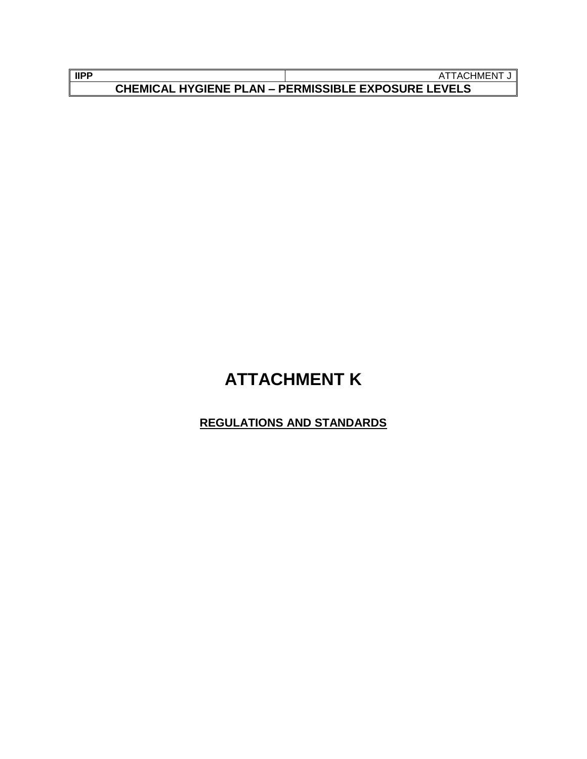| <b>IIPP</b>                                                | ;HMEN<br>ACI |
|------------------------------------------------------------|--------------|
| <b>CHEMICAL HYGIENE PLAN - PERMISSIBLE EXPOSURE LEVELS</b> |              |

## **ATTACHMENT K**

## **REGULATIONS AND STANDARDS**